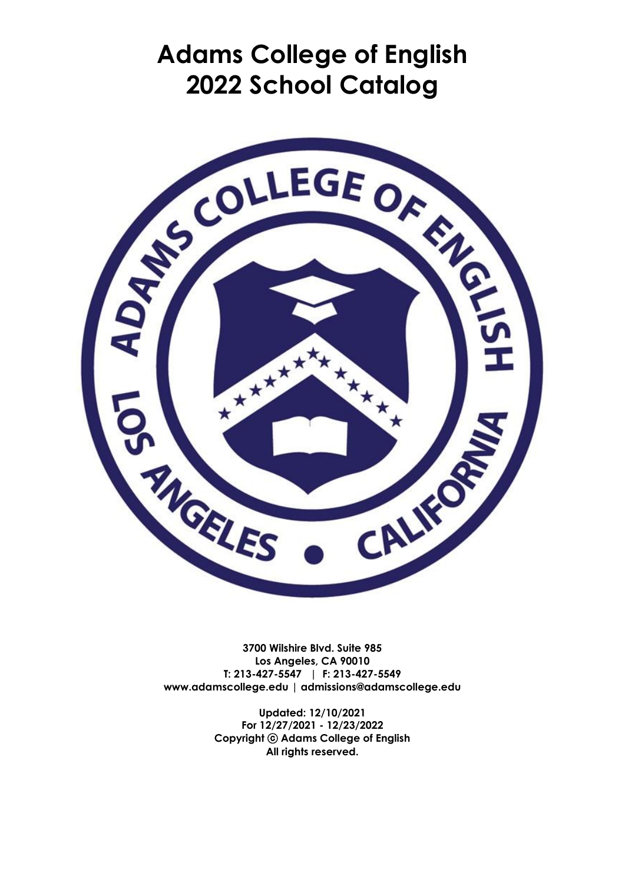# **Adams College of English 2022 School Catalog**



**3700 Wilshire Blvd. Suite 985 Los Angeles, CA 90010 T: 213-427-5547 | F: 213-427-5549 www.adamscollege.edu | admissions@adamscollege.edu**

> **Updated: 12/10/2021 For 12/27/2021 - 12/23/2022 Copyright** ⓒ **Adams College of English All rights reserved.**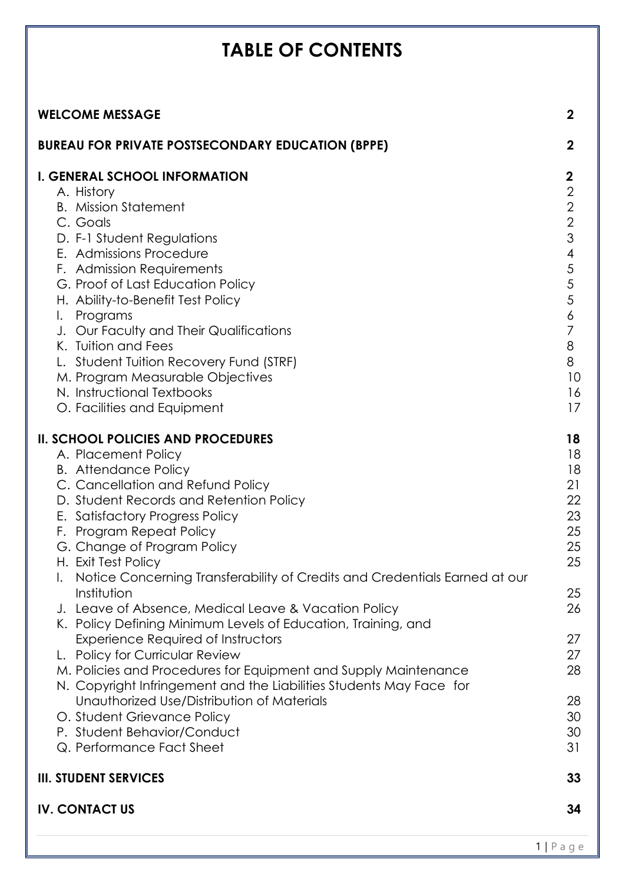# **TABLE OF CONTENTS**

| <b>WELCOME MESSAGE</b><br>$\mathbf{2}$                                                                                                                                                                                                                                                                                                                                                                                                                                                                                                                                                                                                           |                                        |
|--------------------------------------------------------------------------------------------------------------------------------------------------------------------------------------------------------------------------------------------------------------------------------------------------------------------------------------------------------------------------------------------------------------------------------------------------------------------------------------------------------------------------------------------------------------------------------------------------------------------------------------------------|----------------------------------------|
| <b>BUREAU FOR PRIVATE POSTSECONDARY EDUCATION (BPPE)</b><br>$\mathbf{2}$                                                                                                                                                                                                                                                                                                                                                                                                                                                                                                                                                                         |                                        |
| <b>I. GENERAL SCHOOL INFORMATION</b><br>$\boldsymbol{2}$<br>$\overline{2}$<br>A. History<br>$\sqrt{2}$<br><b>B.</b> Mission Statement<br>$\overline{2}$<br>C. Goals<br>3<br>D. F-1 Student Regulations<br>E. Admissions Procedure<br>$\overline{\mathcal{A}}$<br>5<br>F. Admission Requirements<br>$\sqrt{5}$<br>G. Proof of Last Education Policy<br>5<br>H. Ability-to-Benefit Test Policy<br>Programs<br>6<br>I.<br>7<br>J. Our Faculty and Their Qualifications<br>K. Tuition and Fees<br>8<br>8<br>L. Student Tuition Recovery Fund (STRF)<br>M. Program Measurable Objectives<br>N. Instructional Textbooks<br>O. Facilities and Equipment | 10<br>16<br>17                         |
| <b>II. SCHOOL POLICIES AND PROCEDURES</b><br>18<br>A. Placement Policy<br><b>B.</b> Attendance Policy<br>21<br>C. Cancellation and Refund Policy<br>D. Student Records and Retention Policy<br>E. Satisfactory Progress Policy<br>F. Program Repeat Policy<br>G. Change of Program Policy<br>H. Exit Test Policy<br>Notice Concerning Transferability of Credits and Credentials Earned at our                                                                                                                                                                                                                                                   | 18<br>18<br>22<br>23<br>25<br>25<br>25 |
| Institution<br>J. Leave of Absence, Medical Leave & Vacation Policy<br>K. Policy Defining Minimum Levels of Education, Training, and                                                                                                                                                                                                                                                                                                                                                                                                                                                                                                             | 25<br>26                               |
| Experience Required of Instructors<br>L. Policy for Curricular Review<br>M. Policies and Procedures for Equipment and Supply Maintenance<br>N. Copyright Infringement and the Liabilities Students May Face for                                                                                                                                                                                                                                                                                                                                                                                                                                  | 27<br>27<br>28                         |
| Unauthorized Use/Distribution of Materials<br>O. Student Grievance Policy<br>P. Student Behavior/Conduct<br>31<br>Q. Performance Fact Sheet                                                                                                                                                                                                                                                                                                                                                                                                                                                                                                      | 28<br>30<br>30                         |
| <b>III. STUDENT SERVICES</b>                                                                                                                                                                                                                                                                                                                                                                                                                                                                                                                                                                                                                     | 33                                     |
| <b>IV. CONTACT US</b>                                                                                                                                                                                                                                                                                                                                                                                                                                                                                                                                                                                                                            | 34                                     |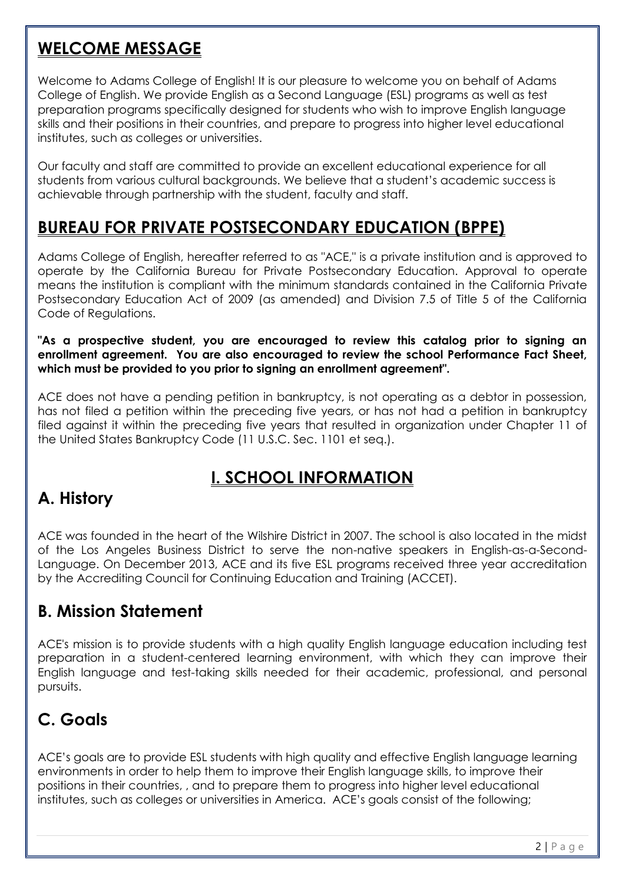### **WELCOME MESSAGE**

Welcome to Adams College of English! It is our pleasure to welcome you on behalf of Adams College of English. We provide English as a Second Language (ESL) programs as well as test preparation programs specifically designed for students who wish to improve English language skills and their positions in their countries, and prepare to progress into higher level educational institutes, such as colleges or universities.

Our faculty and staff are committed to provide an excellent educational experience for all students from various cultural backgrounds. We believe that a student's academic success is achievable through partnership with the student, faculty and staff.

### **BUREAU FOR PRIVATE POSTSECONDARY EDUCATION (BPPE)**

Adams College of English, hereafter referred to as "ACE," is a private institution and is approved to operate by the California Bureau for Private Postsecondary Education. Approval to operate means the institution is compliant with the minimum standards contained in the California Private Postsecondary Education Act of 2009 (as amended) and Division 7.5 of Title 5 of the California Code of Regulations.

**"As a prospective student, you are encouraged to review this catalog prior to signing an enrollment agreement. You are also encouraged to review the school Performance Fact Sheet, which must be provided to you prior to signing an enrollment agreement".**

ACE does not have a pending petition in bankruptcy, is not operating as a debtor in possession, has not filed a petition within the preceding five years, or has not had a petition in bankruptcy filed against it within the preceding five years that resulted in organization under Chapter 11 of the United States Bankruptcy Code (11 U.S.C. Sec. 1101 et seq.).

## **I. SCHOOL INFORMATION**

## **A. History**

ACE was founded in the heart of the Wilshire District in 2007. The school is also located in the midst of the Los Angeles Business District to serve the non-native speakers in English-as-a-Second-Language. On December 2013, ACE and its five ESL programs received three year accreditation by the Accrediting Council for Continuing Education and Training (ACCET).

### **B. Mission Statement**

ACE's mission is to provide students with a high quality English language education including test preparation in a student-centered learning environment, with which they can improve their English language and test-taking skills needed for their academic, professional, and personal pursuits.

## **C. Goals**

ACE's goals are to provide ESL students with high quality and effective English language learning environments in order to help them to improve their English language skills, to improve their positions in their countries, , and to prepare them to progress into higher level educational institutes, such as colleges or universities in America. ACE's goals consist of the following;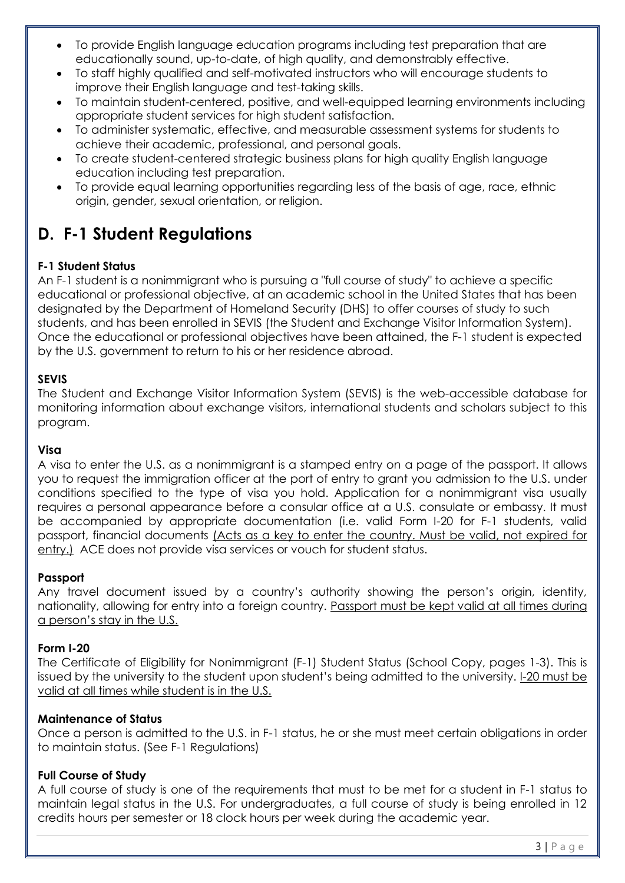- To provide English language education programs including test preparation that are educationally sound, up-to-date, of high quality, and demonstrably effective.
- To staff highly qualified and self-motivated instructors who will encourage students to improve their English language and test-taking skills.
- To maintain student-centered, positive, and well-equipped learning environments including appropriate student services for high student satisfaction.
- To administer systematic, effective, and measurable assessment systems for students to achieve their academic, professional, and personal goals.
- To create student-centered strategic business plans for high quality English language education including test preparation.
- To provide equal learning opportunities regarding less of the basis of age, race, ethnic origin, gender, sexual orientation, or religion.

# **D. F-1 Student Regulations**

#### **F-1 Student Status**

An F-1 student is a nonimmigrant who is pursuing a "full course of study" to achieve a specific educational or professional objective, at an academic school in the United States that has been designated by the Department of Homeland Security (DHS) to offer courses of study to such students, and has been enrolled in SEVIS (the Student and Exchange Visitor Information System). Once the educational or professional objectives have been attained, the F-1 student is expected by the U.S. government to return to his or her residence abroad.

#### **SEVIS**

The Student and Exchange Visitor Information System (SEVIS) is the web-accessible database for monitoring information about exchange visitors, international students and scholars subject to this program.

#### **Visa**

A visa to enter the U.S. as a nonimmigrant is a stamped entry on a page of the passport. It allows you to request the immigration officer at the port of entry to grant you admission to the U.S. under conditions specified to the type of visa you hold. Application for a nonimmigrant visa usually requires a personal appearance before a consular office at a U.S. consulate or embassy. It must be accompanied by appropriate documentation (i.e. valid Form I-20 for F-1 students, valid passport, financial documents (Acts as a key to enter the country. Must be valid, not expired for entry.) ACE does not provide visa services or vouch for student status.

#### **Passport**

Any travel document issued by a country's authority showing the person's origin, identity, nationality, allowing for entry into a foreign country. Passport must be kept valid at all times during a person's stay in the U.S.

#### **Form I-20**

The Certificate of Eligibility for Nonimmigrant (F-1) Student Status (School Copy, pages 1-3). This is issued by the university to the student upon student's being admitted to the university. I-20 must be valid at all times while student is in the U.S.

#### **Maintenance of Status**

Once a person is admitted to the U.S. in F-1 status, he or she must meet certain obligations in order to maintain status. (See F-1 Regulations)

#### **Full Course of Study**

A full course of study is one of the requirements that must to be met for a student in F-1 status to maintain legal status in the U.S. For undergraduates, a full course of study is being enrolled in 12 credits hours per semester or 18 clock hours per week during the academic year.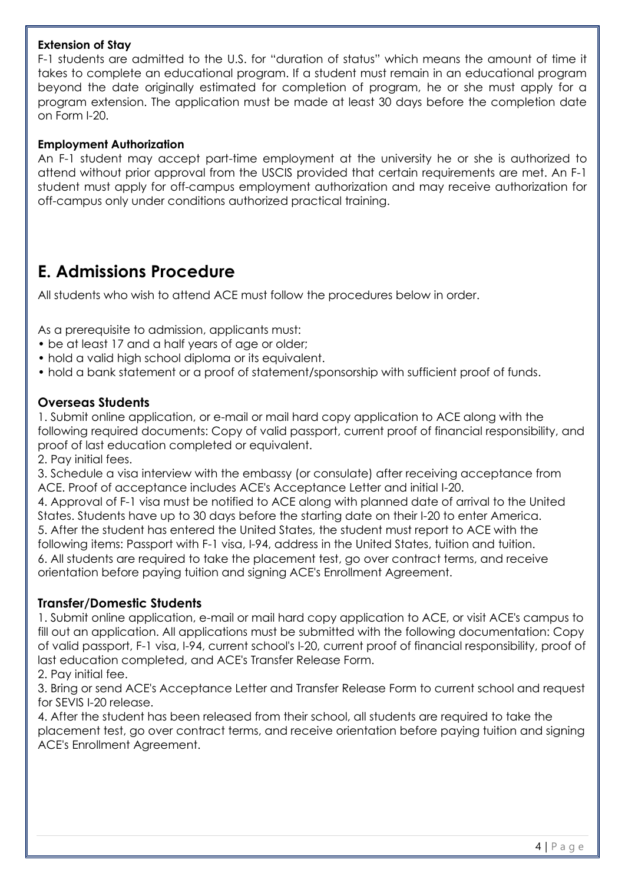#### **Extension of Stay**

F-1 students are admitted to the U.S. for "duration of status" which means the amount of time it takes to complete an educational program. If a student must remain in an educational program beyond the date originally estimated for completion of program, he or she must apply for a program extension. The application must be made at least 30 days before the completion date on Form I-20.

#### **Employment Authorization**

An F-1 student may accept part-time employment at the university he or she is authorized to attend without prior approval from the USCIS provided that certain requirements are met. An F-1 student must apply for off-campus employment authorization and may receive authorization for off-campus only under conditions authorized practical training.

### **E. Admissions Procedure**

All students who wish to attend ACE must follow the procedures below in order.

As a prerequisite to admission, applicants must:

- be at least 17 and a half years of age or older;
- hold a valid high school diploma or its equivalent.
- hold a bank statement or a proof of statement/sponsorship with sufficient proof of funds.

#### **Overseas Students**

1. Submit online application, or e-mail or mail hard copy application to ACE along with the following required documents: Copy of valid passport, current proof of financial responsibility, and proof of last education completed or equivalent.

2. Pay initial fees.

3. Schedule a visa interview with the embassy (or consulate) after receiving acceptance from ACE. Proof of acceptance includes ACE's Acceptance Letter and initial I-20.

4. Approval of F-1 visa must be notified to ACE along with planned date of arrival to the United States. Students have up to 30 days before the starting date on their I-20 to enter America. 5. After the student has entered the United States, the student must report to ACE with the following items: Passport with F-1 visa, I-94, address in the United States, tuition and tuition. 6. All students are required to take the placement test, go over contract terms, and receive orientation before paying tuition and signing ACE's Enrollment Agreement.

#### **Transfer/Domestic Students**

1. Submit online application, e-mail or mail hard copy application to ACE, or visit ACE's campus to fill out an application. All applications must be submitted with the following documentation: Copy of valid passport, F-1 visa, I-94, current school's I-20, current proof of financial responsibility, proof of last education completed, and ACE's Transfer Release Form.

2. Pay initial fee.

3. Bring or send ACE's Acceptance Letter and Transfer Release Form to current school and request for SEVIS I-20 release.

4. After the student has been released from their school, all students are required to take the placement test, go over contract terms, and receive orientation before paying tuition and signing ACE's Enrollment Agreement.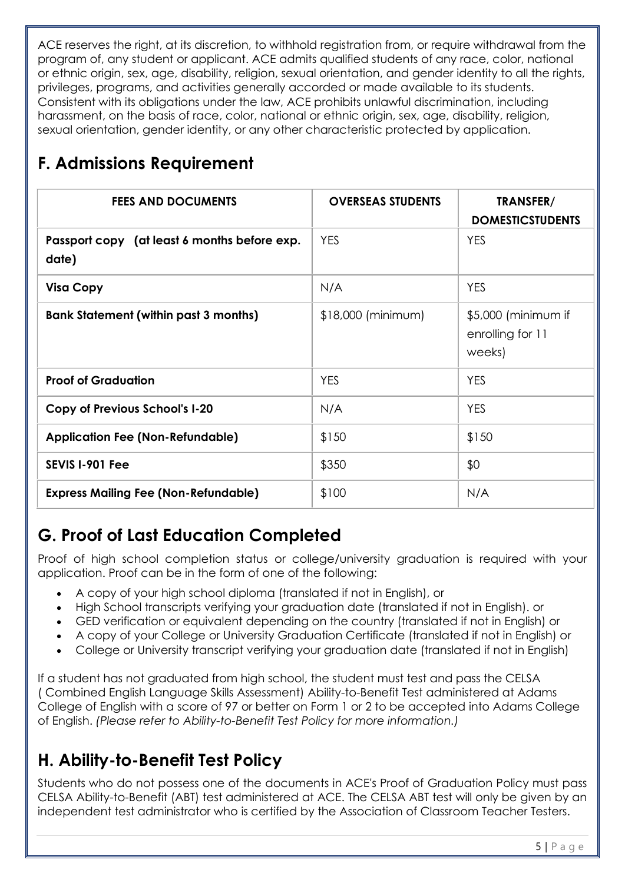ACE reserves the right, at its discretion, to withhold registration from, or require withdrawal from the program of, any student or applicant. ACE admits qualified students of any race, color, national or ethnic origin, sex, age, disability, religion, sexual orientation, and gender identity to all the rights, privileges, programs, and activities generally accorded or made available to its students. Consistent with its obligations under the law, ACE prohibits unlawful discrimination, including harassment, on the basis of race, color, national or ethnic origin, sex, age, disability, religion, sexual orientation, gender identity, or any other characteristic protected by application.

# **F. Admissions Requirement**

| <b>FEES AND DOCUMENTS</b>                             | <b>OVERSEAS STUDENTS</b> | TRANSFER/<br><b>DOMESTICSTUDENTS</b>              |
|-------------------------------------------------------|--------------------------|---------------------------------------------------|
| Passport copy (at least 6 months before exp.<br>date) | <b>YES</b>               | <b>YES</b>                                        |
| <b>Visa Copy</b>                                      | N/A                      | <b>YES</b>                                        |
| <b>Bank Statement (within past 3 months)</b>          | $$18,000$ (minimum)      | \$5,000 (minimum if<br>enrolling for 11<br>weeks) |
| <b>Proof of Graduation</b>                            | <b>YES</b>               | <b>YES</b>                                        |
| <b>Copy of Previous School's I-20</b>                 | N/A                      | <b>YES</b>                                        |
| <b>Application Fee (Non-Refundable)</b>               | \$150                    | \$150                                             |
| SEVIS 1-901 Fee                                       | \$350                    | \$0                                               |
| <b>Express Mailing Fee (Non-Refundable)</b>           | \$100                    | N/A                                               |

# **G. Proof of Last Education Completed**

Proof of high school completion status or college/university graduation is required with your application. Proof can be in the form of one of the following:

- A copy of your high school diploma (translated if not in English), or
- High School transcripts verifying your graduation date (translated if not in English). or
- GED verification or equivalent depending on the country (translated if not in English) or
- A copy of your College or University Graduation Certificate (translated if not in English) or
- College or University transcript verifying your graduation date (translated if not in English)

If a student has not graduated from high school, the student must test and pass the CELSA ( Combined English Language Skills Assessment) Ability-to-Benefit Test administered at Adams College of English with a score of 97 or better on Form 1 or 2 to be accepted into Adams College of English. *(Please refer to Ability-to-Benefit Test Policy for more information.)*

## **H. Ability-to-Benefit Test Policy**

Students who do not possess one of the documents in ACE's Proof of Graduation Policy must pass CELSA Ability-to-Benefit (ABT) test administered at ACE. The CELSA ABT test will only be given by an independent test administrator who is certified by the Association of Classroom Teacher Testers.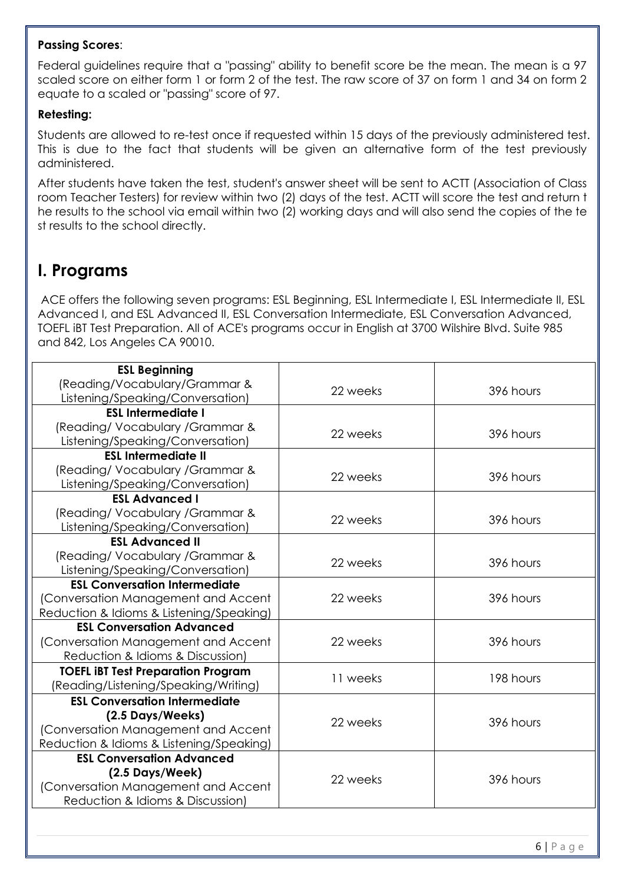#### **Passing Scores**:

Federal guidelines require that a "passing" ability to benefit score be the mean. The mean is a 97 scaled score on either form 1 or form 2 of the test. The raw score of 37 on form 1 and 34 on form 2 equate to a scaled or "passing" score of 97.

#### **Retesting:**

Students are allowed to re-test once if requested within 15 days of the previously administered test. This is due to the fact that students will be given an alternative form of the test previously administered.

After students have taken the test, student's answer sheet will be sent to ACTT (Association of Class room Teacher Testers) for review within two (2) days of the test. ACTT will score the test and return t he results to the school via email within two (2) working days and will also send the copies of the te st results to the school directly.

### **I. Programs**

ACE offers the following seven programs: ESL Beginning, ESL Intermediate I, ESL Intermediate II, ESL Advanced I, and ESL Advanced II, ESL Conversation Intermediate, ESL Conversation Advanced, TOEFL iBT Test Preparation. All of ACE's programs occur in English at 3700 Wilshire Blvd. Suite 985 and 842, Los Angeles CA 90010.

| <b>ESL Beginning</b><br>(Reading/Vocabulary/Grammar & |          |           |
|-------------------------------------------------------|----------|-----------|
| Listening/Speaking/Conversation)                      | 22 weeks | 396 hours |
| <b>ESL Intermediate I</b>                             |          |           |
| (Reading/ Vocabulary / Grammar &                      | 22 weeks | 396 hours |
| Listening/Speaking/Conversation)                      |          |           |
| <b>ESL Intermediate II</b>                            |          |           |
| (Reading/ Vocabulary / Grammar &                      | 22 weeks | 396 hours |
| Listening/Speaking/Conversation)                      |          |           |
| <b>ESL Advanced I</b>                                 |          |           |
| (Reading/ Vocabulary / Grammar &                      | 22 weeks | 396 hours |
| Listening/Speaking/Conversation)                      |          |           |
| <b>ESL Advanced II</b>                                |          |           |
| (Reading/ Vocabulary / Grammar &                      | 22 weeks | 396 hours |
| Listening/Speaking/Conversation)                      |          |           |
| <b>ESL Conversation Intermediate</b>                  |          |           |
| (Conversation Management and Accent                   | 22 weeks | 396 hours |
| Reduction & Idioms & Listening/Speaking)              |          |           |
| <b>ESL Conversation Advanced</b>                      |          |           |
| (Conversation Management and Accent                   | 22 weeks | 396 hours |
| Reduction & Idioms & Discussion)                      |          |           |
| <b>TOEFL IBT Test Preparation Program</b>             | 11 weeks | 198 hours |
| (Reading/Listening/Speaking/Writing)                  |          |           |
| <b>ESL Conversation Intermediate</b>                  |          |           |
| (2.5 Days/Weeks)                                      | 22 weeks | 396 hours |
| (Conversation Management and Accent                   |          |           |
| Reduction & Idioms & Listening/Speaking)              |          |           |
| <b>ESL Conversation Advanced</b>                      |          |           |
| (2.5 Days/Week)                                       | 22 weeks | 396 hours |
| (Conversation Management and Accent                   |          |           |
| Reduction & Idioms & Discussion)                      |          |           |
|                                                       |          |           |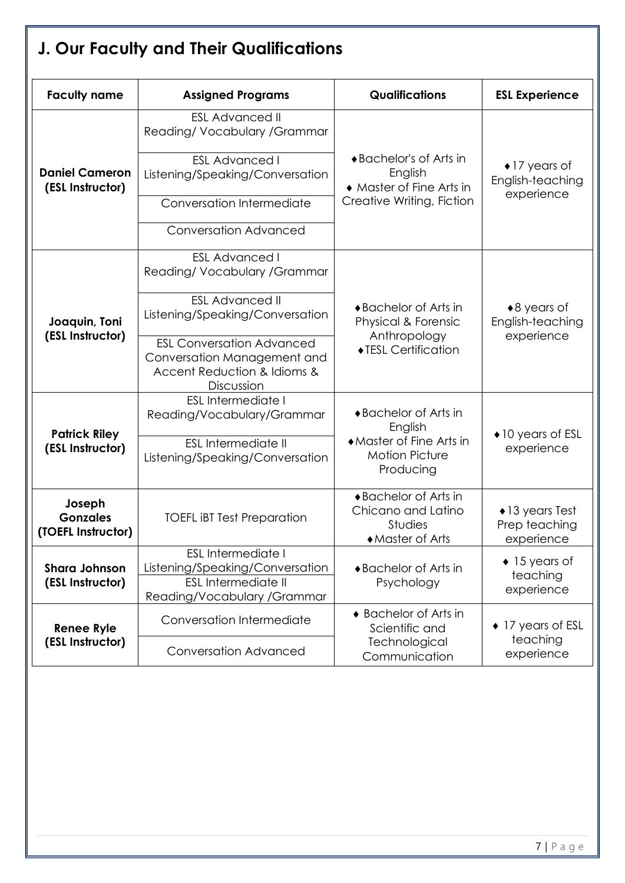|                                                                                                                                                                        | J. Our Faculty and Their Qualifications                                                                      |                                                                            |                                                         |  |
|------------------------------------------------------------------------------------------------------------------------------------------------------------------------|--------------------------------------------------------------------------------------------------------------|----------------------------------------------------------------------------|---------------------------------------------------------|--|
| <b>Faculty name</b>                                                                                                                                                    | <b>Assigned Programs</b>                                                                                     | <b>Qualifications</b>                                                      | <b>ESL Experience</b>                                   |  |
|                                                                                                                                                                        | <b>ESL Advanced II</b><br>Reading/Vocabulary/Grammar                                                         |                                                                            |                                                         |  |
| <b>Daniel Cameron</b><br>(ESL Instructor)                                                                                                                              | <b>ESL Advanced I</b><br>Listening/Speaking/Conversation                                                     | ◆ Bachelor's of Arts in<br>English<br>• Master of Fine Arts in             | $\bullet$ 17 years of<br>English-teaching<br>experience |  |
|                                                                                                                                                                        | Conversation Intermediate                                                                                    | Creative Writing, Fiction                                                  |                                                         |  |
|                                                                                                                                                                        | <b>Conversation Advanced</b>                                                                                 |                                                                            |                                                         |  |
|                                                                                                                                                                        | <b>ESL Advanced I</b><br>Reading/Vocabulary/Grammar                                                          |                                                                            |                                                         |  |
| Joaquin, Toni                                                                                                                                                          | <b>ESL Advanced II</b><br>Listening/Speaking/Conversation                                                    | ♦ Bachelor of Arts in<br>Physical & Forensic<br>Anthropology               | $*8$ years of<br>English-teaching<br>experience         |  |
| (ESL Instructor)                                                                                                                                                       | <b>ESL Conversation Advanced</b><br>Conversation Management and<br>Accent Reduction & Idioms &<br>Discussion | ◆TESL Certification                                                        |                                                         |  |
| <b>Patrick Riley</b>                                                                                                                                                   | <b>ESL Intermediate I</b><br>Reading/Vocabulary/Grammar                                                      | ♦ Bachelor of Arts in<br>English                                           | $\bullet$ 10 years of ESL                               |  |
| (ESL Instructor)                                                                                                                                                       | <b>ESL Intermediate II</b><br>Listening/Speaking/Conversation                                                | ◆ Master of Fine Arts in<br><b>Motion Picture</b><br>Producing             | experience                                              |  |
| Joseph<br><b>Gonzales</b><br><b>TOEFL IBT Test Preparation</b><br>(TOEFL Instructor)                                                                                   |                                                                                                              | ◆ Bachelor of Arts in<br>Chicano and Latino<br>Studies<br>◆ Master of Arts | $\bullet$ 13 years Test<br>Prep teaching<br>experience  |  |
| <b>ESL Intermediate I</b><br><b>Shara Johnson</b><br>Listening/Speaking/Conversation<br><b>ESL Intermediate II</b><br>(ESL Instructor)<br>Reading/Vocabulary / Grammar |                                                                                                              | ◆ Bachelor of Arts in<br>Psychology                                        | $\bullet$ 15 years of<br>teaching<br>experience         |  |
| <b>Renee Ryle</b>                                                                                                                                                      | Conversation Intermediate                                                                                    | ♦ Bachelor of Arts in<br>Scientific and                                    | $\bullet$ 17 years of ESL                               |  |
| (ESL Instructor)                                                                                                                                                       | <b>Conversation Advanced</b>                                                                                 | Technological<br>Communication                                             | teaching<br>experience                                  |  |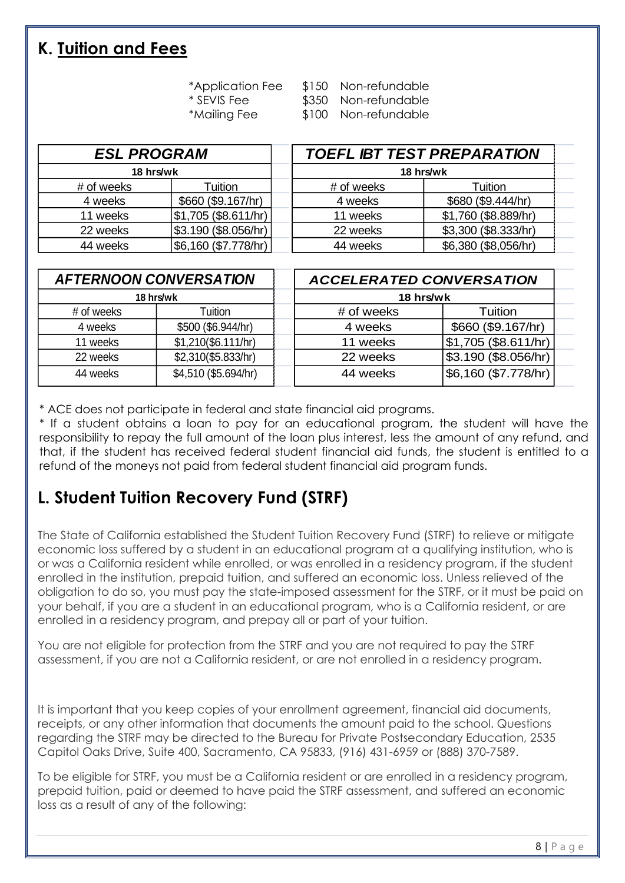### **K. Tuition and Fees**

- \*Application Fee \$150 Non-refundable
- \* SEVIS Fee \$350 Non-refundable
- 
- 
- 
- \*Mailing Fee \$100 Non-refundable

| <b>ESL PROGRAM</b> |                      |           | <b>TOEFL IBT TEST PREPARATION</b> |                      |  |
|--------------------|----------------------|-----------|-----------------------------------|----------------------|--|
| 18 hrs/wk          |                      | 18 hrs/wk |                                   |                      |  |
| # of weeks         | Tuition              |           | # of weeks                        | Tuition              |  |
| 4 weeks            | \$660 (\$9.167/hr)   |           | 4 weeks                           | \$680 (\$9.444/hr)   |  |
| 11 weeks           | \$1,705 (\$8.611/hr) |           | 11 weeks                          | \$1,760 (\$8.889/hr) |  |
| 22 weeks           | \$3.190 (\$8.056/hr) |           | 22 weeks                          | \$3,300 (\$8.333/hr) |  |
| 44 weeks           | \$6,160 (\$7.778/hr) |           | 44 weeks                          | \$6,380 (\$8,056/hr) |  |

| <b>AFTERNOON CONVERSATION</b> |                      | <b>ACCELERATED CONVERSATION</b> |            |                      |
|-------------------------------|----------------------|---------------------------------|------------|----------------------|
| 18 hrs/wk<br>18 hrs/wk        |                      |                                 |            |                      |
| # of weeks                    | Tuition              |                                 | # of weeks | Tuition              |
| 4 weeks                       | \$500 (\$6.944/hr)   |                                 | 4 weeks    | \$660 (\$9.167/hr)   |
| 11 weeks                      | \$1,210 (\$6.111/hr) |                                 | 11 weeks   | \$1,705 (\$8.611/hr) |
| 22 weeks                      | \$2,310(\$5.833/hr)  |                                 | 22 weeks   | \$3.190 (\$8.056/hr) |
| 44 weeks                      | \$4,510 (\$5.694/hr) |                                 | 44 weeks   | \$6,160 (\$7.778/hr) |

\* ACE does not participate in federal and state financial aid programs.

\* If a student obtains a loan to pay for an educational program, the student will have the responsibility to repay the full amount of the loan plus interest, less the amount of any refund, and that, if the student has received federal student financial aid funds, the student is entitled to a refund of the moneys not paid from federal student financial aid program funds.

## **L. Student Tuition Recovery Fund (STRF)**

The State of California established the Student Tuition Recovery Fund (STRF) to relieve or mitigate economic loss suffered by a student in an educational program at a qualifying institution, who is or was a California resident while enrolled, or was enrolled in a residency program, if the student enrolled in the institution, prepaid tuition, and suffered an economic loss. Unless relieved of the obligation to do so, you must pay the state-imposed assessment for the STRF, or it must be paid on your behalf, if you are a student in an educational program, who is a California resident, or are enrolled in a residency program, and prepay all or part of your tuition.

You are not eligible for protection from the STRF and you are not required to pay the STRF assessment, if you are not a California resident, or are not enrolled in a residency program.

It is important that you keep copies of your enrollment agreement, financial aid documents, receipts, or any other information that documents the amount paid to the school. Questions regarding the STRF may be directed to the Bureau for Private Postsecondary Education, 2535 Capitol Oaks Drive, Suite 400, Sacramento, CA 95833, (916) 431-6959 or (888) 370-7589.

To be eligible for STRF, you must be a California resident or are enrolled in a residency program, prepaid tuition, paid or deemed to have paid the STRF assessment, and suffered an economic loss as a result of any of the following: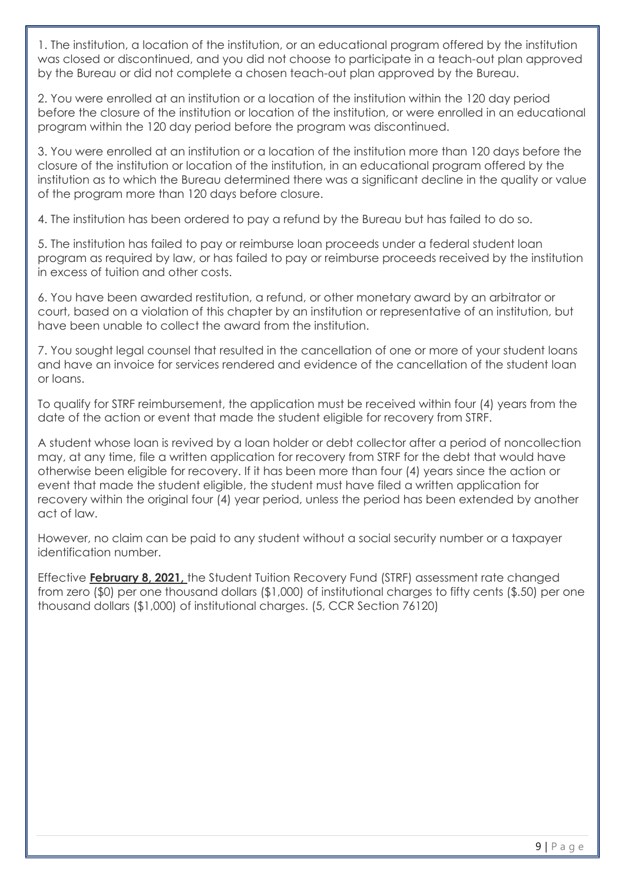1. The institution, a location of the institution, or an educational program offered by the institution was closed or discontinued, and you did not choose to participate in a teach-out plan approved by the Bureau or did not complete a chosen teach-out plan approved by the Bureau.

2. You were enrolled at an institution or a location of the institution within the 120 day period before the closure of the institution or location of the institution, or were enrolled in an educational program within the 120 day period before the program was discontinued.

3. You were enrolled at an institution or a location of the institution more than 120 days before the closure of the institution or location of the institution, in an educational program offered by the institution as to which the Bureau determined there was a significant decline in the quality or value of the program more than 120 days before closure.

4. The institution has been ordered to pay a refund by the Bureau but has failed to do so.

5. The institution has failed to pay or reimburse loan proceeds under a federal student loan program as required by law, or has failed to pay or reimburse proceeds received by the institution in excess of tuition and other costs.

6. You have been awarded restitution, a refund, or other monetary award by an arbitrator or court, based on a violation of this chapter by an institution or representative of an institution, but have been unable to collect the award from the institution.

7. You sought legal counsel that resulted in the cancellation of one or more of your student loans and have an invoice for services rendered and evidence of the cancellation of the student loan or loans.

To qualify for STRF reimbursement, the application must be received within four (4) years from the date of the action or event that made the student eligible for recovery from STRF.

A student whose loan is revived by a loan holder or debt collector after a period of noncollection may, at any time, file a written application for recovery from STRF for the debt that would have otherwise been eligible for recovery. If it has been more than four (4) years since the action or event that made the student eligible, the student must have filed a written application for recovery within the original four (4) year period, unless the period has been extended by another act of law.

However, no claim can be paid to any student without a social security number or a taxpayer identification number.

Effective **February 8, 2021,** the Student Tuition Recovery Fund (STRF) assessment rate changed from zero (\$0) per one thousand dollars (\$1,000) of institutional charges to fifty cents (\$.50) per one thousand dollars (\$1,000) of institutional charges. (5, CCR Section 76120)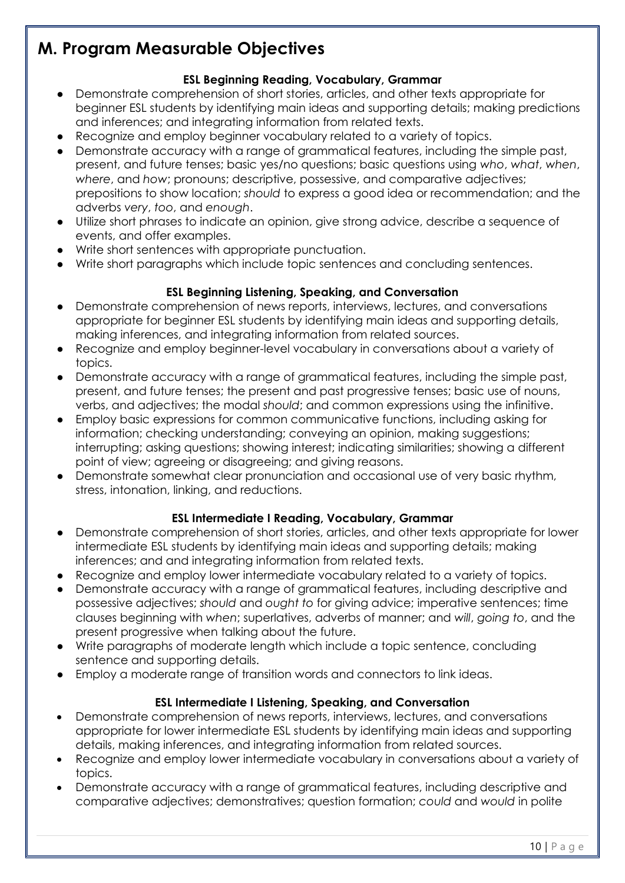### **M. Program Measurable Objectives**

#### **ESL Beginning Reading, Vocabulary, Grammar**

- Demonstrate comprehension of short stories, articles, and other texts appropriate for beginner ESL students by identifying main ideas and supporting details; making predictions and inferences; and integrating information from related texts.
- Recognize and employ beginner vocabulary related to a variety of topics.
- Demonstrate accuracy with a range of grammatical features, including the simple past, present, and future tenses; basic yes/no questions; basic questions using *who*, *what*, *when*, *where*, and *how*; pronouns; descriptive, possessive, and comparative adjectives; prepositions to show location; *should* to express a good idea or recommendation; and the adverbs *very*, *too*, and *enough*.
- Utilize short phrases to indicate an opinion, give strong advice, describe a sequence of events, and offer examples.
- Write short sentences with appropriate punctuation.
- Write short paragraphs which include topic sentences and concluding sentences.

#### **ESL Beginning Listening, Speaking, and Conversation**

- Demonstrate comprehension of news reports, interviews, lectures, and conversations appropriate for beginner ESL students by identifying main ideas and supporting details, making inferences, and integrating information from related sources.
- Recognize and employ beginner-level vocabulary in conversations about a variety of topics.
- Demonstrate accuracy with a range of grammatical features, including the simple past, present, and future tenses; the present and past progressive tenses; basic use of nouns, verbs, and adjectives; the modal *should*; and common expressions using the infinitive.
- Employ basic expressions for common communicative functions, including asking for information; checking understanding; conveying an opinion, making suggestions; interrupting; asking questions; showing interest; indicating similarities; showing a different point of view; agreeing or disagreeing; and giving reasons.
- Demonstrate somewhat clear pronunciation and occasional use of very basic rhythm, stress, intonation, linking, and reductions.

#### **ESL Intermediate I Reading, Vocabulary, Grammar**

- Demonstrate comprehension of short stories, articles, and other texts appropriate for lower intermediate ESL students by identifying main ideas and supporting details; making inferences; and and integrating information from related texts.
- Recognize and employ lower intermediate vocabulary related to a variety of topics.
- Demonstrate accuracy with a range of grammatical features, including descriptive and possessive adjectives; *should* and *ought to* for giving advice; imperative sentences; time clauses beginning with *when*; superlatives, adverbs of manner; and *will*, *going to*, and the present progressive when talking about the future.
- Write paragraphs of moderate length which include a topic sentence, concluding sentence and supporting details.
- Employ a moderate range of transition words and connectors to link ideas.

#### **ESL Intermediate I Listening, Speaking, and Conversation**

- Demonstrate comprehension of news reports, interviews, lectures, and conversations appropriate for lower intermediate ESL students by identifying main ideas and supporting details, making inferences, and integrating information from related sources.
- Recognize and employ lower intermediate vocabulary in conversations about a variety of topics.
- Demonstrate accuracy with a range of grammatical features, including descriptive and comparative adjectives; demonstratives; question formation; *could* and *would* in polite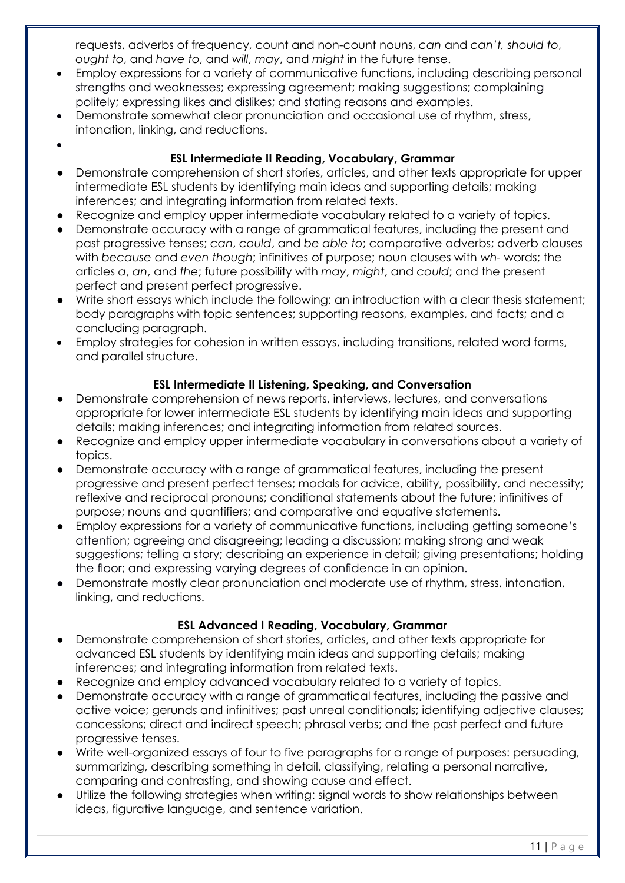requests, adverbs of frequency, count and non-count nouns, *can* and *can't, should to*, *ought to*, and *have to*, and *will*, *may*, and *might* in the future tense.

- Employ expressions for a variety of communicative functions, including describing personal strengths and weaknesses; expressing agreement; making suggestions; complaining politely; expressing likes and dislikes; and stating reasons and examples.
- Demonstrate somewhat clear pronunciation and occasional use of rhythm, stress, intonation, linking, and reductions.

•

#### **ESL Intermediate II Reading, Vocabulary, Grammar**

- Demonstrate comprehension of short stories, articles, and other texts appropriate for upper intermediate ESL students by identifying main ideas and supporting details; making inferences; and integrating information from related texts.
- Recognize and employ upper intermediate vocabulary related to a variety of topics.
- Demonstrate accuracy with a range of grammatical features, including the present and past progressive tenses; *can*, *could*, and *be able to*; comparative adverbs; adverb clauses with *because* and *even though*; infinitives of purpose; noun clauses with *wh-* words; the articles *a*, *an*, and *the*; future possibility with *may*, *might*, and *could*; and the present perfect and present perfect progressive.
- Write short essays which include the following: an introduction with a clear thesis statement; body paragraphs with topic sentences; supporting reasons, examples, and facts; and a concluding paragraph.
- Employ strategies for cohesion in written essays, including transitions, related word forms, and parallel structure.

#### **ESL Intermediate II Listening, Speaking, and Conversation**

- Demonstrate comprehension of news reports, interviews, lectures, and conversations appropriate for lower intermediate ESL students by identifying main ideas and supporting details; making inferences; and integrating information from related sources.
- Recognize and employ upper intermediate vocabulary in conversations about a variety of topics.
- Demonstrate accuracy with a range of grammatical features, including the present progressive and present perfect tenses; modals for advice, ability, possibility, and necessity; reflexive and reciprocal pronouns; conditional statements about the future; infinitives of purpose; nouns and quantifiers; and comparative and equative statements.
- Employ expressions for a variety of communicative functions, including getting someone's attention; agreeing and disagreeing; leading a discussion; making strong and weak suggestions; telling a story; describing an experience in detail; giving presentations; holding the floor; and expressing varying degrees of confidence in an opinion.
- Demonstrate mostly clear pronunciation and moderate use of rhythm, stress, intonation, linking, and reductions.

#### **ESL Advanced I Reading, Vocabulary, Grammar**

- Demonstrate comprehension of short stories, articles, and other texts appropriate for advanced ESL students by identifying main ideas and supporting details; making inferences; and integrating information from related texts.
- Recognize and employ advanced vocabulary related to a variety of topics.
- Demonstrate accuracy with a range of grammatical features, including the passive and active voice; gerunds and infinitives; past unreal conditionals; identifying adjective clauses; concessions; direct and indirect speech; phrasal verbs; and the past perfect and future progressive tenses.
- Write well-organized essays of four to five paragraphs for a range of purposes: persuading, summarizing, describing something in detail, classifying, relating a personal narrative, comparing and contrasting, and showing cause and effect.
- Utilize the following strategies when writing: signal words to show relationships between ideas, figurative language, and sentence variation.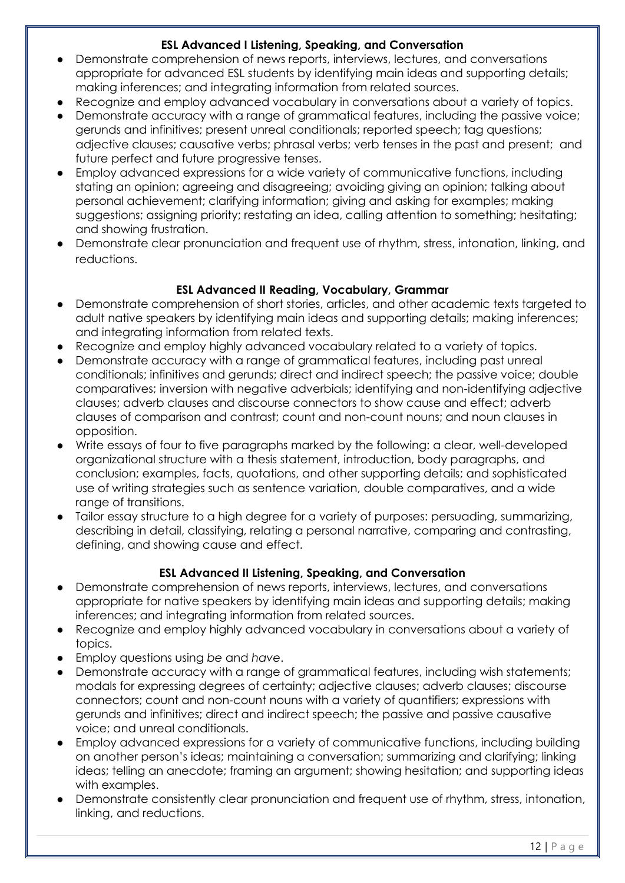#### **ESL Advanced I Listening, Speaking, and Conversation**

- Demonstrate comprehension of news reports, interviews, lectures, and conversations appropriate for advanced ESL students by identifying main ideas and supporting details; making inferences; and integrating information from related sources.
- Recognize and employ advanced vocabulary in conversations about a variety of topics.
- Demonstrate accuracy with a range of grammatical features, including the passive voice; gerunds and infinitives; present unreal conditionals; reported speech; tag questions; adjective clauses; causative verbs; phrasal verbs; verb tenses in the past and present; and future perfect and future progressive tenses.
- Employ advanced expressions for a wide variety of communicative functions, including stating an opinion; agreeing and disagreeing; avoiding giving an opinion; talking about personal achievement; clarifying information; giving and asking for examples; making suggestions; assigning priority; restating an idea, calling attention to something; hesitating; and showing frustration.
- Demonstrate clear pronunciation and frequent use of rhythm, stress, intonation, linking, and reductions.

#### **ESL Advanced II Reading, Vocabulary, Grammar**

- Demonstrate comprehension of short stories, articles, and other academic texts targeted to adult native speakers by identifying main ideas and supporting details; making inferences; and integrating information from related texts.
- Recognize and employ highly advanced vocabulary related to a variety of topics.
- Demonstrate accuracy with a range of grammatical features, including past unreal conditionals; infinitives and gerunds; direct and indirect speech; the passive voice; double comparatives; inversion with negative adverbials; identifying and non-identifying adjective clauses; adverb clauses and discourse connectors to show cause and effect; adverb clauses of comparison and contrast; count and non-count nouns; and noun clauses in opposition.
- Write essays of four to five paragraphs marked by the following: a clear, well-developed organizational structure with a thesis statement, introduction, body paragraphs, and conclusion; examples, facts, quotations, and other supporting details; and sophisticated use of writing strategies such as sentence variation, double comparatives, and a wide range of transitions.
- Tailor essay structure to a high degree for a variety of purposes: persuading, summarizing, describing in detail, classifying, relating a personal narrative, comparing and contrasting, defining, and showing cause and effect.

#### **ESL Advanced II Listening, Speaking, and Conversation**

- Demonstrate comprehension of news reports, interviews, lectures, and conversations appropriate for native speakers by identifying main ideas and supporting details; making inferences; and integrating information from related sources.
- Recognize and employ highly advanced vocabulary in conversations about a variety of topics.
- Employ questions using *be* and *have*.
- Demonstrate accuracy with a range of grammatical features, including wish statements; modals for expressing degrees of certainty; adjective clauses; adverb clauses; discourse connectors; count and non-count nouns with a variety of quantifiers; expressions with gerunds and infinitives; direct and indirect speech; the passive and passive causative voice; and unreal conditionals.
- Employ advanced expressions for a variety of communicative functions, including building on another person's ideas; maintaining a conversation; summarizing and clarifying; linking ideas; telling an anecdote; framing an argument; showing hesitation; and supporting ideas with examples.
- Demonstrate consistently clear pronunciation and frequent use of rhythm, stress, intonation, linking, and reductions.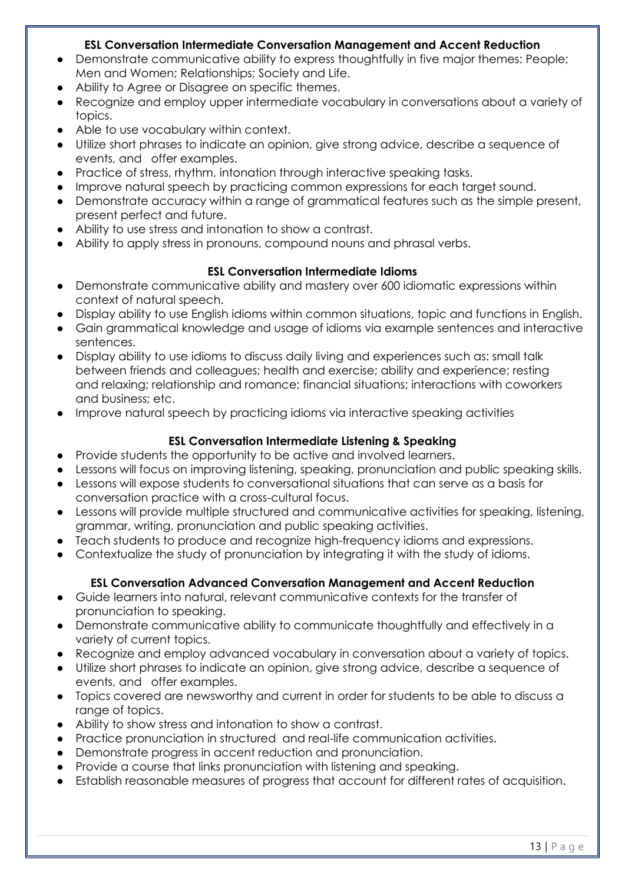#### **ESL Conversation Intermediate Conversation Management and Accent Reduction**

- Demonstrate communicative ability to express thoughtfully in five major themes: People; Men and Women; Relationships; Society and Life.
- Ability to Agree or Disagree on specific themes.
- Recognize and employ upper intermediate vocabulary in conversations about a variety of topics.
- Able to use vocabulary within context.
- Utilize short phrases to indicate an opinion, give strong advice, describe a sequence of events, and offer examples.
- Practice of stress, rhythm, intonation through interactive speaking tasks.
- Improve natural speech by practicing common expressions for each target sound.
- Demonstrate accuracy within a range of grammatical features such as the simple present, present perfect and future.
- Ability to use stress and intonation to show a contrast.
- Ability to apply stress in pronouns, compound nouns and phrasal verbs.

#### **ESL Conversation Intermediate Idioms**

- Demonstrate communicative ability and mastery over 600 idiomatic expressions within context of natural speech.
- Display ability to use English idioms within common situations, topic and functions in English.
- Gain grammatical knowledge and usage of idioms via example sentences and interactive sentences.
- Display ability to use idioms to discuss daily living and experiences such as: small talk between friends and colleagues; health and exercise; ability and experience; resting and relaxing; relationship and romance; financial situations; interactions with coworkers and business; etc.
- Improve natural speech by practicing idioms via interactive speaking activities

#### **ESL Conversation Intermediate Listening & Speaking**

- Provide students the opportunity to be active and involved learners.
- Lessons will focus on improving listening, speaking, pronunciation and public speaking skills.
- Lessons will expose students to conversational situations that can serve as a basis for conversation practice with a cross-cultural focus.
- Lessons will provide multiple structured and communicative activities for speaking, listening, grammar, writing, pronunciation and public speaking activities.
- Teach students to produce and recognize high-frequency idioms and expressions.
- Contextualize the study of pronunciation by integrating it with the study of idioms.

#### **ESL Conversation Advanced Conversation Management and Accent Reduction**

- Guide learners into natural, relevant communicative contexts for the transfer of pronunciation to speaking.
- Demonstrate communicative ability to communicate thoughtfully and effectively in a variety of current topics.
- Recognize and employ advanced vocabulary in conversation about a variety of topics.
- Utilize short phrases to indicate an opinion, give strong advice, describe a sequence of events, and offer examples.
- Topics covered are newsworthy and current in order for students to be able to discuss a range of topics.
- Ability to show stress and intonation to show a contrast.
- Practice pronunciation in structured and real-life communication activities.
- Demonstrate progress in accent reduction and pronunciation.
- Provide a course that links pronunciation with listening and speaking.
- Establish reasonable measures of progress that account for different rates of acquisition.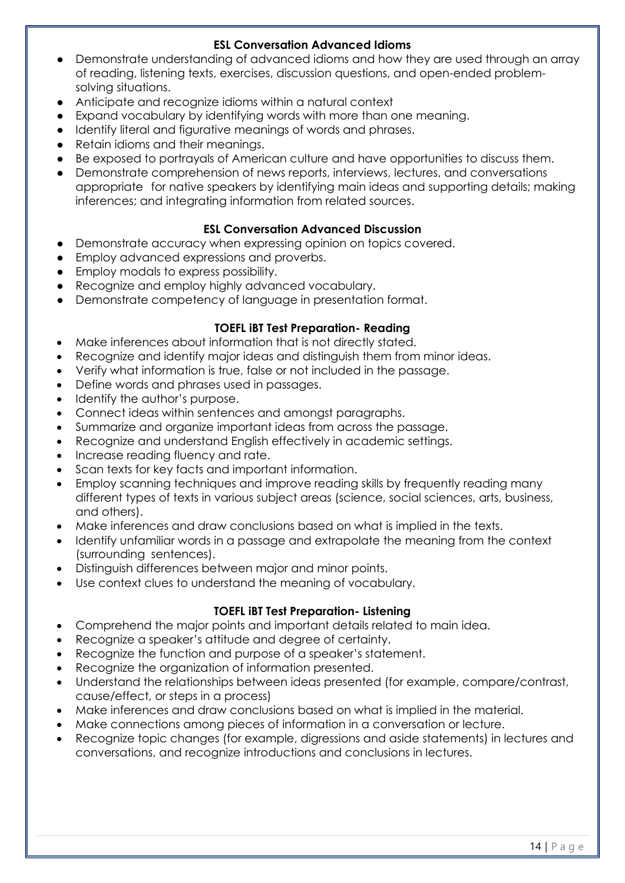#### **ESL Conversation Advanced Idioms**

- Demonstrate understanding of advanced idioms and how they are used through an array of reading, listening texts, exercises, discussion questions, and open-ended problemsolving situations.
- Anticipate and recognize idioms within a natural context
- Expand vocabulary by identifying words with more than one meaning.
- Identify literal and figurative meanings of words and phrases.
- Retain idioms and their meanings.
- Be exposed to portrayals of American culture and have opportunities to discuss them.
- Demonstrate comprehension of news reports, interviews, lectures, and conversations appropriate for native speakers by identifying main ideas and supporting details; making inferences; and integrating information from related sources.

#### **ESL Conversation Advanced Discussion**

- Demonstrate accuracy when expressing opinion on topics covered.
- Employ advanced expressions and proverbs.
- Employ modals to express possibility.
- Recognize and employ highly advanced vocabulary.
- Demonstrate competency of language in presentation format.

#### **TOEFL iBT Test Preparation- Reading**

- Make inferences about information that is not directly stated.
- Recognize and identify major ideas and distinguish them from minor ideas.
- Verify what information is true, false or not included in the passage.
- Define words and phrases used in passages.
- Identify the author's purpose.
- Connect ideas within sentences and amongst paragraphs.
- Summarize and organize important ideas from across the passage.
- Recognize and understand English effectively in academic settings.
- Increase reading fluency and rate.
- Scan texts for key facts and important information.
- Employ scanning techniques and improve reading skills by frequently reading many different types of texts in various subject areas (science, social sciences, arts, business, and others).
- Make inferences and draw conclusions based on what is implied in the texts.
- Identify unfamiliar words in a passage and extrapolate the meaning from the context (surrounding sentences).
- Distinguish differences between major and minor points.
- Use context clues to understand the meaning of vocabulary.

#### **TOEFL iBT Test Preparation- Listening**

- Comprehend the major points and important details related to main idea.
- Recognize a speaker's attitude and degree of certainty.
- Recognize the function and purpose of a speaker's statement.
- Recognize the organization of information presented.
- Understand the relationships between ideas presented (for example, compare/contrast, cause/effect, or steps in a process)
- Make inferences and draw conclusions based on what is implied in the material.
- Make connections among pieces of information in a conversation or lecture.
- Recognize topic changes (for example, digressions and aside statements) in lectures and conversations, and recognize introductions and conclusions in lectures.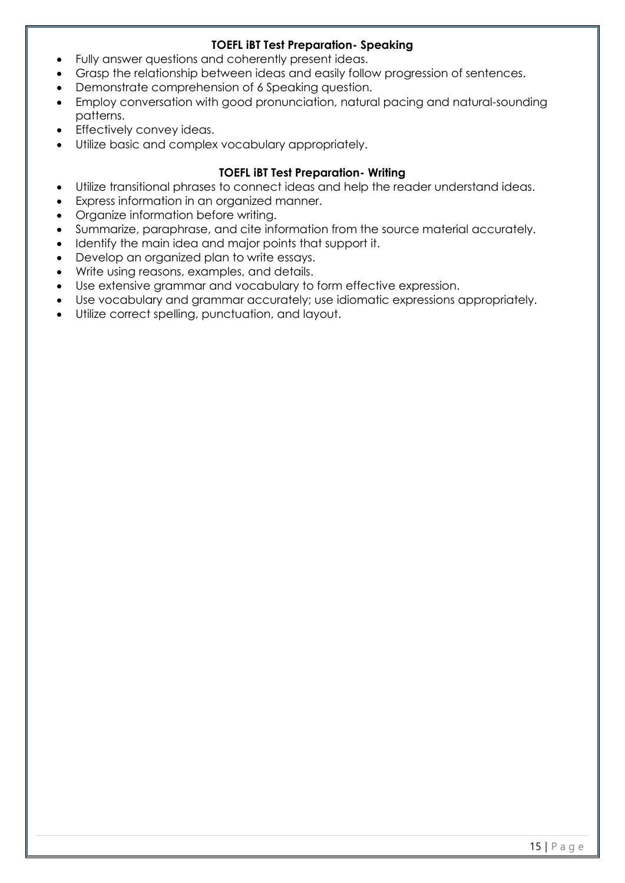#### **TOEFL iBT Test Preparation- Speaking**

- Fully answer questions and coherently present ideas.
- Grasp the relationship between ideas and easily follow progression of sentences.
- Demonstrate comprehension of 6 Speaking question.
- Employ conversation with good pronunciation, natural pacing and natural-sounding patterns.
- Effectively convey ideas.
- Utilize basic and complex vocabulary appropriately.

#### **TOEFL iBT Test Preparation- Writing**

- Utilize transitional phrases to connect ideas and help the reader understand ideas.
- Express information in an organized manner.
- Organize information before writing.
- Summarize, paraphrase, and cite information from the source material accurately.
- Identify the main idea and major points that support it.
- Develop an organized plan to write essays.
- Write using reasons, examples, and details.
- Use extensive grammar and vocabulary to form effective expression.
- Use vocabulary and grammar accurately; use idiomatic expressions appropriately.
- Utilize correct spelling, punctuation, and layout.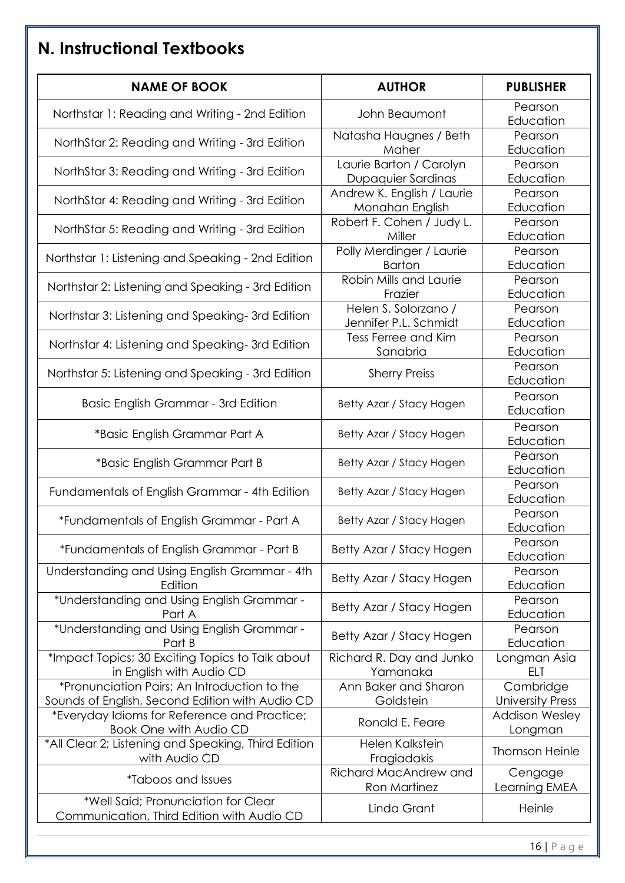# **N. Instructional Textbooks**

| <b>NAME OF BOOK</b>                                                                             | <b>AUTHOR</b>                                 | <b>PUBLISHER</b>                     |
|-------------------------------------------------------------------------------------------------|-----------------------------------------------|--------------------------------------|
| Northstar 1: Reading and Writing - 2nd Edition                                                  | John Beaumont                                 | Pearson<br>Education                 |
| NorthStar 2: Reading and Writing - 3rd Edition                                                  | Natasha Haugnes / Beth<br>Maher               | Pearson<br>Education                 |
| NorthStar 3: Reading and Writing - 3rd Edition                                                  | Laurie Barton / Carolyn<br>Dupaquier Sardinas | Pearson<br>Education                 |
| NorthStar 4: Reading and Writing - 3rd Edition                                                  | Andrew K. English / Laurie<br>Monahan English | Pearson<br>Education                 |
| NorthStar 5: Reading and Writing - 3rd Edition                                                  | Robert F. Cohen / Judy L.<br>Miller           | Pearson<br>Education                 |
| Northstar 1: Listening and Speaking - 2nd Edition                                               | Polly Merdinger / Laurie<br><b>Barton</b>     | Pearson<br>Education                 |
| Northstar 2: Listening and Speaking - 3rd Edition                                               | Robin Mills and Laurie<br>Frazier             | Pearson<br>Education                 |
| Northstar 3: Listening and Speaking-3rd Edition                                                 | Helen S. Solorzano /<br>Jennifer P.L. Schmidt | Pearson<br>Education                 |
| Northstar 4: Listening and Speaking-3rd Edition                                                 | Tess Ferree and Kim<br>Sanabria               | Pearson<br>Education                 |
| Northstar 5: Listening and Speaking - 3rd Edition                                               | <b>Sherry Preiss</b>                          | Pearson<br>Education                 |
| Basic English Grammar - 3rd Edition                                                             | Betty Azar / Stacy Hagen                      | Pearson<br>Education                 |
| *Basic English Grammar Part A                                                                   | Betty Azar / Stacy Hagen                      | Pearson<br>Education                 |
| *Basic English Grammar Part B                                                                   | Betty Azar / Stacy Hagen                      | Pearson<br>Education                 |
| Fundamentals of English Grammar - 4th Edition                                                   | Betty Azar / Stacy Hagen                      | Pearson<br>Education                 |
| *Fundamentals of English Grammar - Part A                                                       | Betty Azar / Stacy Hagen                      | Pearson<br>Education                 |
| *Fundamentals of English Grammar - Part B                                                       | Betty Azar / Stacy Hagen                      | Pearson<br>Education                 |
| Understanding and Using English Grammar - 4th<br>Edition                                        | Betty Azar / Stacy Hagen                      | Pearson<br>Education                 |
| *Understanding and Using English Grammar -<br>Part A                                            | Betty Azar / Stacy Hagen                      | Pearson<br>Education                 |
| *Understanding and Using English Grammar -<br>Part B                                            | Betty Azar / Stacy Hagen                      | Pearson<br>Education                 |
| *Impact Topics; 30 Exciting Topics to Talk about<br>in English with Audio CD                    | Richard R. Day and Junko<br>Yamanaka          | Longman Asia<br><b>ELT</b>           |
| *Pronunciation Pairs; An Introduction to the<br>Sounds of English, Second Edition with Audio CD | Ann Baker and Sharon<br>Goldstein             | Cambridge<br><b>University Press</b> |
| *Everyday Idioms for Reference and Practice;<br><b>Book One with Audio CD</b>                   | Ronald E. Feare                               | <b>Addison Wesley</b><br>Longman     |
| *All Clear 2; Listening and Speaking, Third Edition<br>with Audio CD                            | Helen Kalkstein<br>Fragiadakis                | <b>Thomson Heinle</b>                |
| <i><b>*Taboos and Issues</b></i>                                                                | Richard MacAndrew and<br><b>Ron Martinez</b>  | Cengage<br>Learning EMEA             |
| *Well Said; Pronunciation for Clear<br>Communication, Third Edition with Audio CD               | Linda Grant                                   | Heinle                               |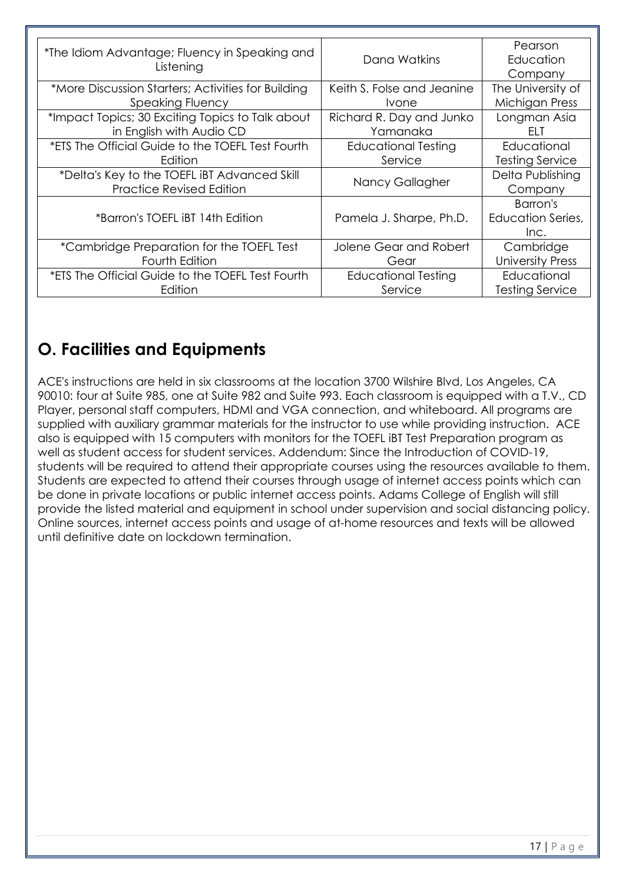| *The Idiom Advantage; Fluency in Speaking and      |                            | Pearson                  |
|----------------------------------------------------|----------------------------|--------------------------|
| Listening                                          | Dana Watkins               | Education                |
|                                                    |                            | Company                  |
| *More Discussion Starters; Activities for Building | Keith S. Folse and Jeanine | The University of        |
| <b>Speaking Fluency</b>                            | <i>vone</i>                | Michigan Press           |
| *Impact Topics; 30 Exciting Topics to Talk about   | Richard R. Day and Junko   | Longman Asia             |
| in English with Audio CD                           | Yamanaka                   | FLT.                     |
| *ETS The Official Guide to the TOEFL Test Fourth   | <b>Educational Testing</b> | Educational              |
| Edition                                            | Service                    | <b>Testing Service</b>   |
| *Delta's Key to the TOEFL IBT Advanced Skill       |                            | Delta Publishing         |
| <b>Practice Revised Edition</b>                    | Nancy Gallagher            | Company                  |
|                                                    |                            | Barron's                 |
| *Barron's TOEFL IBT 14th Edition                   | Pamela J. Sharpe, Ph.D.    | <b>Education Series,</b> |
|                                                    |                            | Inc.                     |
| *Cambridge Preparation for the TOEFL Test          | Jolene Gear and Robert     | Cambridge                |
| Fourth Edition                                     | Gear                       | <b>University Press</b>  |
| *ETS The Official Guide to the TOEFL Test Fourth   | <b>Educational Testing</b> | Educational              |
| Edition                                            | Service                    | <b>Testing Service</b>   |

## **O. Facilities and Equipments**

ACE's instructions are held in six classrooms at the location 3700 Wilshire Blvd, Los Angeles, CA 90010: four at Suite 985, one at Suite 982 and Suite 993. Each classroom is equipped with a T.V., CD Player, personal staff computers, HDMI and VGA connection, and whiteboard. All programs are supplied with auxiliary grammar materials for the instructor to use while providing instruction. ACE also is equipped with 15 computers with monitors for the TOEFL iBT Test Preparation program as well as student access for student services. Addendum: Since the Introduction of COVID-19, students will be required to attend their appropriate courses using the resources available to them. Students are expected to attend their courses through usage of internet access points which can be done in private locations or public internet access points. Adams College of English will still provide the listed material and equipment in school under supervision and social distancing policy. Online sources, internet access points and usage of at-home resources and texts will be allowed until definitive date on lockdown termination.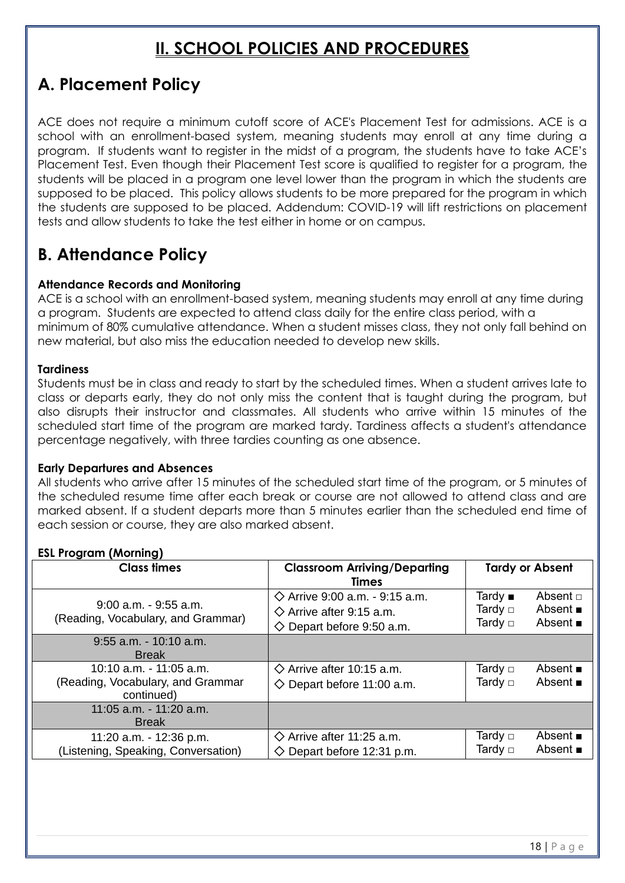## **II. SCHOOL POLICIES AND PROCEDURES**

### **A. Placement Policy**

ACE does not require a minimum cutoff score of ACE's Placement Test for admissions. ACE is a school with an enrollment-based system, meaning students may enroll at any time during a program. If students want to register in the midst of a program, the students have to take ACE's Placement Test. Even though their Placement Test score is qualified to register for a program, the students will be placed in a program one level lower than the program in which the students are supposed to be placed. This policy allows students to be more prepared for the program in which the students are supposed to be placed. Addendum: COVID-19 will lift restrictions on placement tests and allow students to take the test either in home or on campus.

## **B. Attendance Policy**

#### **Attendance Records and Monitoring**

ACE is a school with an enrollment-based system, meaning students may enroll at any time during a program. Students are expected to attend class daily for the entire class period, with a minimum of 80% cumulative attendance. When a student misses class, they not only fall behind on new material, but also miss the education needed to develop new skills.

#### **Tardiness**

Students must be in class and ready to start by the scheduled times. When a student arrives late to class or departs early, they do not only miss the content that is taught during the program, but also disrupts their instructor and classmates. All students who arrive within 15 minutes of the scheduled start time of the program are marked tardy. Tardiness affects a student's attendance percentage negatively, with three tardies counting as one absence.

#### **Early Departures and Absences**

All students who arrive after 15 minutes of the scheduled start time of the program, or 5 minutes of the scheduled resume time after each break or course are not allowed to attend class and are marked absent. If a student departs more than 5 minutes earlier than the scheduled end time of each session or course, they are also marked absent.

#### **ESL Program (Morning)**

| <b>Class times</b>                                                         | <b>Classroom Arriving/Departing</b><br><b>Times</b>                                                                    |                                                      | <b>Tardy or Absent</b>                                          |
|----------------------------------------------------------------------------|------------------------------------------------------------------------------------------------------------------------|------------------------------------------------------|-----------------------------------------------------------------|
| $9:00$ a.m. $-9:55$ a.m.<br>(Reading, Vocabulary, and Grammar)             | $\diamond$ Arrive 9:00 a.m. - 9:15 a.m.<br>$\diamond$ Arrive after 9:15 a.m.<br>$\diamondsuit$ Depart before 9:50 a.m. | Tardy $\blacksquare$<br>Tardy $\Box$<br>Tardy $\Box$ | Absent $\Box$<br>Absent $\blacksquare$<br>Absent $\blacksquare$ |
| $9:55$ a.m. $-10:10$ a.m.<br><b>Break</b>                                  |                                                                                                                        |                                                      |                                                                 |
| 10:10 a.m. - 11:05 a.m.<br>(Reading, Vocabulary, and Grammar<br>continued) | $\diamond$ Arrive after 10:15 a.m.<br>$\diamondsuit$ Depart before 11:00 a.m.                                          | Tardy $\Box$<br>Tardy $\Box$                         | Absent $\blacksquare$<br>Absent $\blacksquare$                  |
| 11:05 a.m. - 11:20 a.m.<br><b>Break</b>                                    |                                                                                                                        |                                                      |                                                                 |
| 11:20 a.m. - 12:36 p.m.<br>(Listening, Speaking, Conversation)             | $\diamondsuit$ Arrive after 11:25 a.m.<br>$\diamond$ Depart before 12:31 p.m.                                          | Tardy $\Box$<br>Tardy $\Box$                         | Absent $\blacksquare$<br>Absent $\blacksquare$                  |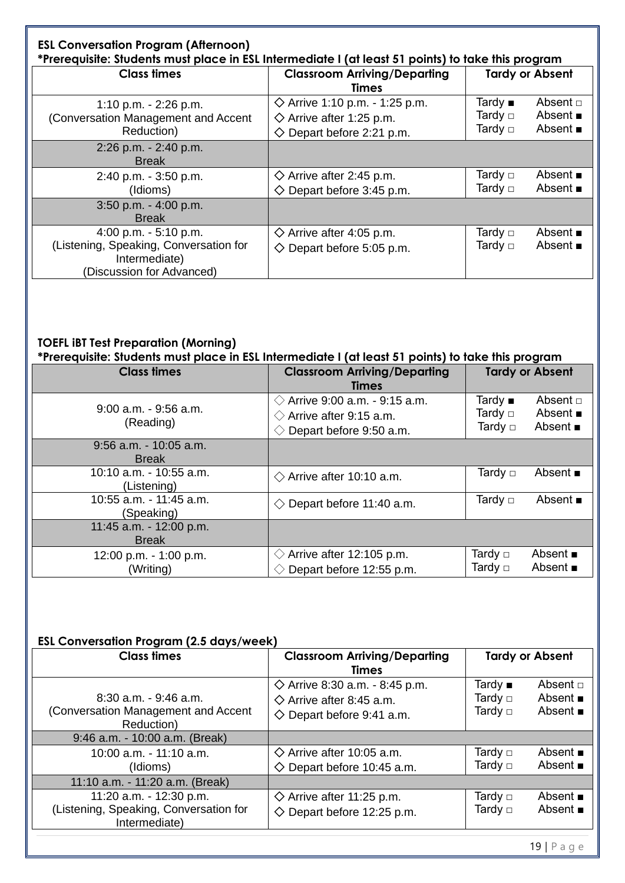| <b>ESL Conversation Program (Afternoon)</b><br>*Prerequisite: Students must place in ESL Intermediate I (at least 51 points) to take this program |                                                                                                                            |                                      |                                                                 |
|---------------------------------------------------------------------------------------------------------------------------------------------------|----------------------------------------------------------------------------------------------------------------------------|--------------------------------------|-----------------------------------------------------------------|
| <b>Class times</b>                                                                                                                                | <b>Classroom Arriving/Departing</b><br><b>Times</b>                                                                        |                                      | <b>Tardy or Absent</b>                                          |
| 1:10 p.m. $-$ 2:26 p.m.<br>(Conversation Management and Accent<br>Reduction)                                                                      | $\diamondsuit$ Arrive 1:10 p.m. - 1:25 p.m.<br>$\diamondsuit$ Arrive after 1:25 p.m.<br>$\diamond$ Depart before 2:21 p.m. | Tardy $\blacksquare$<br>Tardy $\Box$ | Absent $\Box$<br>Absent $\blacksquare$<br>Absent $\blacksquare$ |
| 2:26 p.m. - 2:40 p.m.<br><b>Break</b>                                                                                                             |                                                                                                                            |                                      |                                                                 |
| 2:40 p.m. - 3:50 p.m.<br>(Idioms)                                                                                                                 | $\diamond$ Arrive after 2:45 p.m.<br>$\diamond$ Depart before 3:45 p.m.                                                    | Tardy $\Box$                         | Absent $\blacksquare$<br>Absent $\blacksquare$                  |
| 3:50 p.m. - 4:00 p.m.<br><b>Break</b>                                                                                                             |                                                                                                                            |                                      |                                                                 |
| 4:00 p.m. $-5:10$ p.m.<br>(Listening, Speaking, Conversation for<br>Intermediate)<br>(Discussion for Advanced)                                    | $\diamond$ Arrive after 4:05 p.m.<br>$\diamond$ Depart before 5:05 p.m.                                                    | Tardy $\Box$                         | Absent $\blacksquare$<br>Absent $\blacksquare$                  |

#### **TOEFL iBT Test Preparation (Morning)**

**\*Prerequisite: Students must place in ESL Intermediate I (at least 51 points) to take this program**

| <b>Class times</b>                        | <b>Classroom Arriving/Departing</b>                                                                     | <b>Tardy or Absent</b>                                                                                                  |
|-------------------------------------------|---------------------------------------------------------------------------------------------------------|-------------------------------------------------------------------------------------------------------------------------|
|                                           | <b>Times</b>                                                                                            |                                                                                                                         |
| $9:00$ a.m. $-9:56$ a.m.<br>(Reading)     | $\Diamond$ Arrive 9:00 a.m. - 9:15 a.m.<br>$\Diamond$ Arrive after 9:15 a.m.<br>Depart before 9:50 a.m. | Tardy $\blacksquare$<br>Absent $\Box$<br>Absent $\blacksquare$<br>Tardy $\Box$<br>Absent $\blacksquare$<br>Tardy $\Box$ |
| $9:56$ a.m. $-10:05$ a.m.<br><b>Break</b> |                                                                                                         |                                                                                                                         |
| 10:10 a.m. - 10:55 a.m.<br>(Listening)    | $\Diamond$ Arrive after 10:10 a.m.                                                                      | Absent $\blacksquare$<br>Tardy $\Box$                                                                                   |
| 10:55 a.m. - 11:45 a.m.<br>(Speaking)     | Depart before 11:40 a.m.<br>$\langle \rangle$                                                           | Tardy $\Box$<br>Absent $\blacksquare$                                                                                   |
| 11:45 a.m. - 12:00 p.m.<br><b>Break</b>   |                                                                                                         |                                                                                                                         |
| 12:00 p.m. - 1:00 p.m.<br>(Writing)       | $\Diamond$ Arrive after 12:105 p.m.<br>Depart before 12:55 p.m.                                         | Tardy $\Box$<br>Absent $\blacksquare$<br>Absent $\blacksquare$<br>Tardy $\Box$                                          |

#### **ESL Conversation Program (2.5 days/week)**

| <b>Class times</b>                                                                 | <b>Classroom Arriving/Departing</b><br><b>Times</b>                                                                    |                                                      | <b>Tardy or Absent</b>                                          |
|------------------------------------------------------------------------------------|------------------------------------------------------------------------------------------------------------------------|------------------------------------------------------|-----------------------------------------------------------------|
| $8:30$ a.m. $-9:46$ a.m.<br>(Conversation Management and Accent<br>Reduction)      | $\diamond$ Arrive 8:30 a.m. - 8:45 p.m.<br>$\diamond$ Arrive after 8:45 a.m.<br>$\diamondsuit$ Depart before 9:41 a.m. | Tardy $\blacksquare$<br>Tardy $\Box$<br>Tardy $\Box$ | Absent $\Box$<br>Absent $\blacksquare$<br>Absent $\blacksquare$ |
| 9:46 a.m. - 10:00 a.m. (Break)                                                     |                                                                                                                        |                                                      |                                                                 |
| 10:00 a.m. - 11:10 a.m.<br>(Idioms)                                                | $\diamond$ Arrive after 10:05 a.m.<br>$\diamondsuit$ Depart before 10:45 a.m.                                          | Tardy $\Box$<br>Tardy $\Box$                         | Absent $\blacksquare$<br>Absent $\blacksquare$                  |
| 11:10 a.m. - 11:20 a.m. (Break)                                                    |                                                                                                                        |                                                      |                                                                 |
| 11:20 a.m. - 12:30 p.m.<br>(Listening, Speaking, Conversation for<br>Intermediate) | $\diamondsuit$ Arrive after 11:25 p.m.<br>$\diamondsuit$ Depart before 12:25 p.m.                                      | Tardy $\Box$<br>Tardy $\Box$                         | Absent $\blacksquare$<br>Absent $\blacksquare$                  |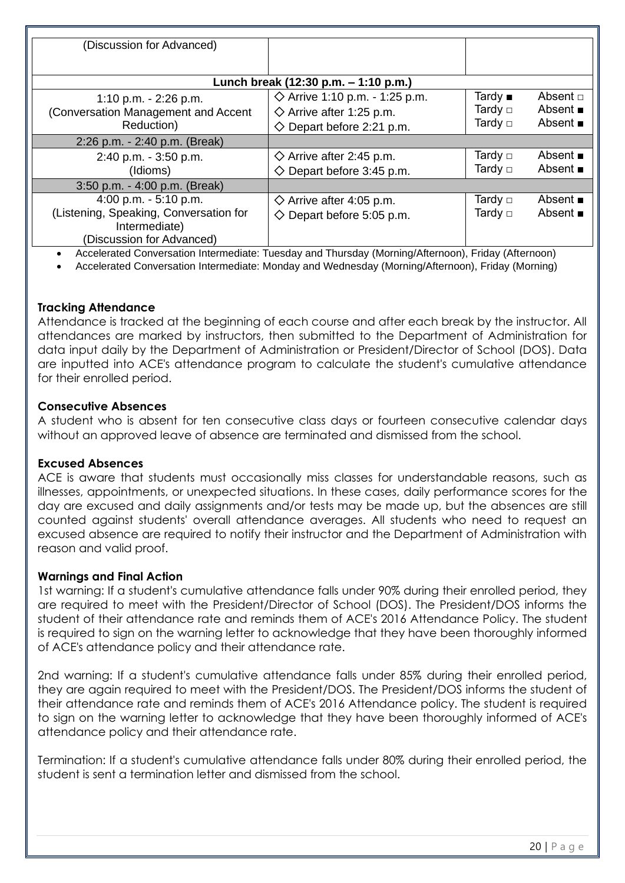| (Discussion for Advanced)                               |                                                                                                     |              |                       |  |
|---------------------------------------------------------|-----------------------------------------------------------------------------------------------------|--------------|-----------------------|--|
|                                                         |                                                                                                     |              |                       |  |
| Lunch break (12:30 p.m. – 1:10 p.m.)                    |                                                                                                     |              |                       |  |
| 1:10 p.m. $-$ 2:26 p.m.                                 | $\diamond$ Arrive 1:10 p.m. - 1:25 p.m.                                                             | Tardy $■$    | Absent $\Box$         |  |
| (Conversation Management and Accent                     | $\diamondsuit$ Arrive after 1:25 p.m.                                                               | Tardy $\Box$ | Absent $\blacksquare$ |  |
| Reduction)                                              | $\diamond$ Depart before 2:21 p.m.                                                                  | Tardy $\Box$ | Absent $\blacksquare$ |  |
| 2:26 p.m. - 2:40 p.m. (Break)                           |                                                                                                     |              |                       |  |
| 2:40 p.m. - 3:50 p.m.                                   | $\diamond$ Arrive after 2:45 p.m.                                                                   | Tardy $\Box$ | Absent $\blacksquare$ |  |
| (Idioms)                                                | $\diamond$ Depart before 3:45 p.m.                                                                  | Tardy $\Box$ | Absent $\blacksquare$ |  |
| 3:50 p.m. - 4:00 p.m. (Break)                           |                                                                                                     |              |                       |  |
| 4:00 p.m. $-5:10$ p.m.                                  | $\diamond$ Arrive after 4:05 p.m.                                                                   |              | Absent $\blacksquare$ |  |
| (Listening, Speaking, Conversation for<br>Intermediate) | $\diamond$ Depart before 5:05 p.m.                                                                  | Tardy $\Box$ | Absent $\blacksquare$ |  |
| (Discussion for Advanced)                               | Applemented Conversation Intermediate: Tuesday and Thursday (Mersina Afternoon), Friday (Afternoon) |              |                       |  |

• Accelerated Conversation Intermediate: Tuesday and Thursday (Morning/Afternoon), Friday (Afternoon)

• Accelerated Conversation Intermediate: Monday and Wednesday (Morning/Afternoon), Friday (Morning)

#### **Tracking Attendance**

Attendance is tracked at the beginning of each course and after each break by the instructor. All attendances are marked by instructors, then submitted to the Department of Administration for data input daily by the Department of Administration or President/Director of School (DOS). Data are inputted into ACE's attendance program to calculate the student's cumulative attendance for their enrolled period.

#### **Consecutive Absences**

A student who is absent for ten consecutive class days or fourteen consecutive calendar days without an approved leave of absence are terminated and dismissed from the school.

#### **Excused Absences**

ACE is aware that students must occasionally miss classes for understandable reasons, such as illnesses, appointments, or unexpected situations. In these cases, daily performance scores for the day are excused and daily assignments and/or tests may be made up, but the absences are still counted against students' overall attendance averages. All students who need to request an excused absence are required to notify their instructor and the Department of Administration with reason and valid proof.

#### **Warnings and Final Action**

1st warning: If a student's cumulative attendance falls under 90% during their enrolled period, they are required to meet with the President/Director of School (DOS). The President/DOS informs the student of their attendance rate and reminds them of ACE's 2016 Attendance Policy. The student is required to sign on the warning letter to acknowledge that they have been thoroughly informed of ACE's attendance policy and their attendance rate.

2nd warning: If a student's cumulative attendance falls under 85% during their enrolled period, they are again required to meet with the President/DOS. The President/DOS informs the student of their attendance rate and reminds them of ACE's 2016 Attendance policy. The student is required to sign on the warning letter to acknowledge that they have been thoroughly informed of ACE's attendance policy and their attendance rate.

Termination: If a student's cumulative attendance falls under 80% during their enrolled period, the student is sent a termination letter and dismissed from the school.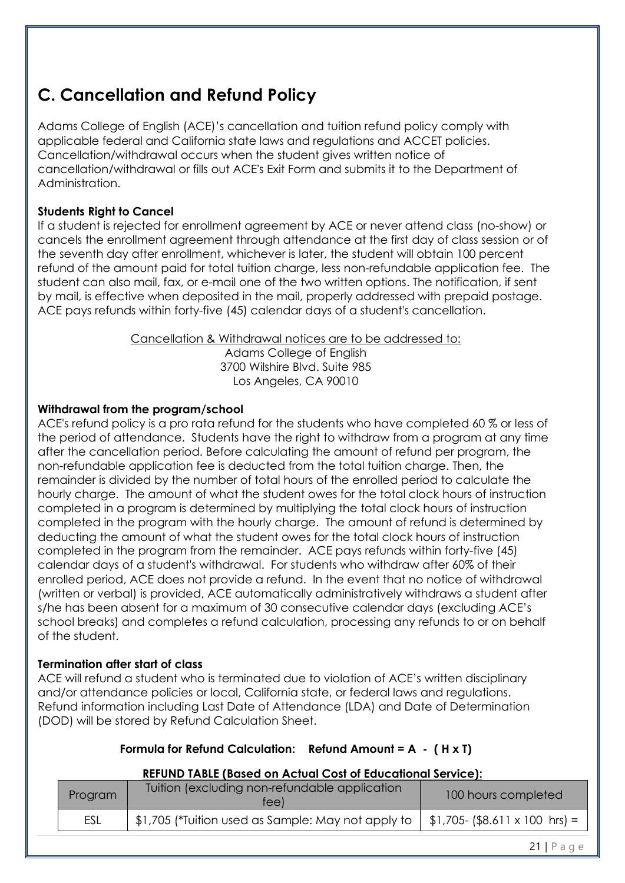## **C. Cancellation and Refund Policy**

Adams College of English (ACE)'s cancellation and tuition refund policy comply with applicable federal and California state laws and regulations and ACCET policies. Cancellation/withdrawal occurs when the student gives written notice of cancellation/withdrawal or fills out ACE's Exit Form and submits it to the Department of Administration.

#### **Students Right to Cancel**

If a student is rejected for enrollment agreement by ACE or never attend class (no-show) or cancels the enrollment agreement through attendance at the first day of class session or of the seventh day after enrollment, whichever is later, the student will obtain 100 percent refund of the amount paid for total tuition charge, less non-refundable application fee. The student can also mail, fax, or e-mail one of the two written options. The notification, if sent by mail, is effective when deposited in the mail, properly addressed with prepaid postage. ACE pays refunds within forty-five (45) calendar days of a student's cancellation.

Cancellation & Withdrawal notices are to be addressed to:

Adams College of English 3700 Wilshire Blvd. Suite 985 Los Angeles, CA 90010

#### **Withdrawal from the program/school**

ACE's refund policy is a pro rata refund for the students who have completed 60 % or less of the period of attendance. Students have the right to withdraw from a program at any time after the cancellation period. Before calculating the amount of refund per program, the non-refundable application fee is deducted from the total tuition charge. Then, the remainder is divided by the number of total hours of the enrolled period to calculate the hourly charge. The amount of what the student owes for the total clock hours of instruction completed in a program is determined by multiplying the total clock hours of instruction completed in the program with the hourly charge. The amount of refund is determined by deducting the amount of what the student owes for the total clock hours of instruction completed in the program from the remainder. ACE pays refunds within forty-five (45) calendar days of a student's withdrawal. For students who withdraw after 60% of their enrolled period, ACE does not provide a refund. In the event that no notice of withdrawal (written or verbal) is provided, ACE automatically administratively withdraws a student after s/he has been absent for a maximum of 30 consecutive calendar days (excluding ACE's school breaks) and completes a refund calculation, processing any refunds to or on behalf of the student.

#### **Termination after start of class**

ACE will refund a student who is terminated due to violation of ACE's written disciplinary and/or attendance policies or local, California state, or federal laws and regulations. Refund information including Last Date of Attendance (LDA) and Date of Determination (DOD) will be stored by Refund Calculation Sheet.

#### **Formula for Refund Calculation: Refund Amount = A - ( H x T)**

#### **REFUND TABLE (Based on Actual Cost of Educational Service):**

| Program | Tuition (excluding non-refundable application<br>tee) | 100 hours completed                          |
|---------|-------------------------------------------------------|----------------------------------------------|
| ESL     | \$1,705 (*Tuition used as Sample: May not apply to    | $\frac{1}{2}$ \$1,705- (\$8.611 x 100 hrs) = |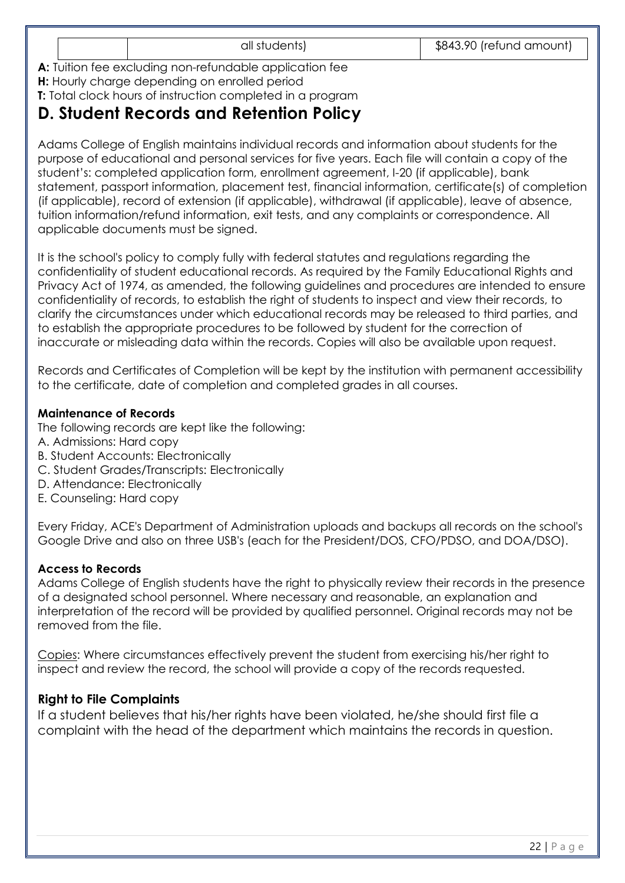**A:** Tuition fee excluding non-refundable application fee **H:** Hourly charge depending on enrolled period

**T:** Total clock hours of instruction completed in a program

### **D. Student Records and Retention Policy**

Adams College of English maintains individual records and information about students for the purpose of educational and personal services for five years. Each file will contain a copy of the student's: completed application form, enrollment agreement, I-20 (if applicable), bank statement, passport information, placement test, financial information, certificate(s) of completion (if applicable), record of extension (if applicable), withdrawal (if applicable), leave of absence, tuition information/refund information, exit tests, and any complaints or correspondence. All applicable documents must be signed.

It is the school's policy to comply fully with federal statutes and regulations regarding the confidentiality of student educational records. As required by the Family Educational Rights and Privacy Act of 1974, as amended, the following guidelines and procedures are intended to ensure confidentiality of records, to establish the right of students to inspect and view their records, to clarify the circumstances under which educational records may be released to third parties, and to establish the appropriate procedures to be followed by student for the correction of inaccurate or misleading data within the records. Copies will also be available upon request.

Records and Certificates of Completion will be kept by the institution with permanent accessibility to the certificate, date of completion and completed grades in all courses.

#### **Maintenance of Records**

The following records are kept like the following:

- A. Admissions: Hard copy
- B. Student Accounts: Electronically
- C. Student Grades/Transcripts: Electronically
- D. Attendance: Electronically
- E. Counseling: Hard copy

Every Friday, ACE's Department of Administration uploads and backups all records on the school's Google Drive and also on three USB's (each for the President/DOS, CFO/PDSO, and DOA/DSO).

#### **Access to Records**

Adams College of English students have the right to physically review their records in the presence of a designated school personnel. Where necessary and reasonable, an explanation and interpretation of the record will be provided by qualified personnel. Original records may not be removed from the file.

Copies: Where circumstances effectively prevent the student from exercising his/her right to inspect and review the record, the school will provide a copy of the records requested.

#### **Right to File Complaints**

If a student believes that his/her rights have been violated, he/she should first file a complaint with the head of the department which maintains the records in question.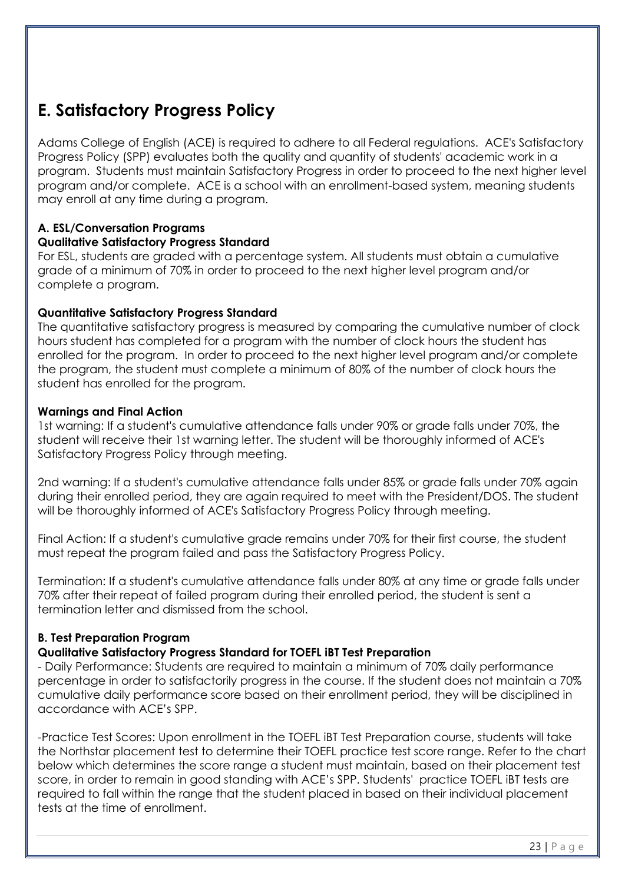### **E. Satisfactory Progress Policy**

Adams College of English (ACE) is required to adhere to all Federal regulations. ACE's Satisfactory Progress Policy (SPP) evaluates both the quality and quantity of students' academic work in a program. Students must maintain Satisfactory Progress in order to proceed to the next higher level program and/or complete. ACE is a school with an enrollment-based system, meaning students may enroll at any time during a program.

#### **A. ESL/Conversation Programs**

#### **Qualitative Satisfactory Progress Standard**

For ESL, students are graded with a percentage system. All students must obtain a cumulative grade of a minimum of 70% in order to proceed to the next higher level program and/or complete a program.

#### **Quantitative Satisfactory Progress Standard**

The quantitative satisfactory progress is measured by comparing the cumulative number of clock hours student has completed for a program with the number of clock hours the student has enrolled for the program. In order to proceed to the next higher level program and/or complete the program, the student must complete a minimum of 80% of the number of clock hours the student has enrolled for the program.

#### **Warnings and Final Action**

1st warning: If a student's cumulative attendance falls under 90% or grade falls under 70%, the student will receive their 1st warning letter. The student will be thoroughly informed of ACE's Satisfactory Progress Policy through meeting.

2nd warning: If a student's cumulative attendance falls under 85% or grade falls under 70% again during their enrolled period, they are again required to meet with the President/DOS. The student will be thoroughly informed of ACE's Satisfactory Progress Policy through meeting.

Final Action: If a student's cumulative grade remains under 70% for their first course, the student must repeat the program failed and pass the Satisfactory Progress Policy.

Termination: If a student's cumulative attendance falls under 80% at any time or grade falls under 70% after their repeat of failed program during their enrolled period, the student is sent a termination letter and dismissed from the school.

#### **B. Test Preparation Program**

#### **Qualitative Satisfactory Progress Standard for TOEFL iBT Test Preparation**

- Daily Performance: Students are required to maintain a minimum of 70% daily performance percentage in order to satisfactorily progress in the course. If the student does not maintain a 70% cumulative daily performance score based on their enrollment period, they will be disciplined in accordance with ACE's SPP.

-Practice Test Scores: Upon enrollment in the TOEFL iBT Test Preparation course, students will take the Northstar placement test to determine their TOEFL practice test score range. Refer to the chart below which determines the score range a student must maintain, based on their placement test score, in order to remain in good standing with ACE's SPP. Students' practice TOEFL iBT tests are required to fall within the range that the student placed in based on their individual placement tests at the time of enrollment.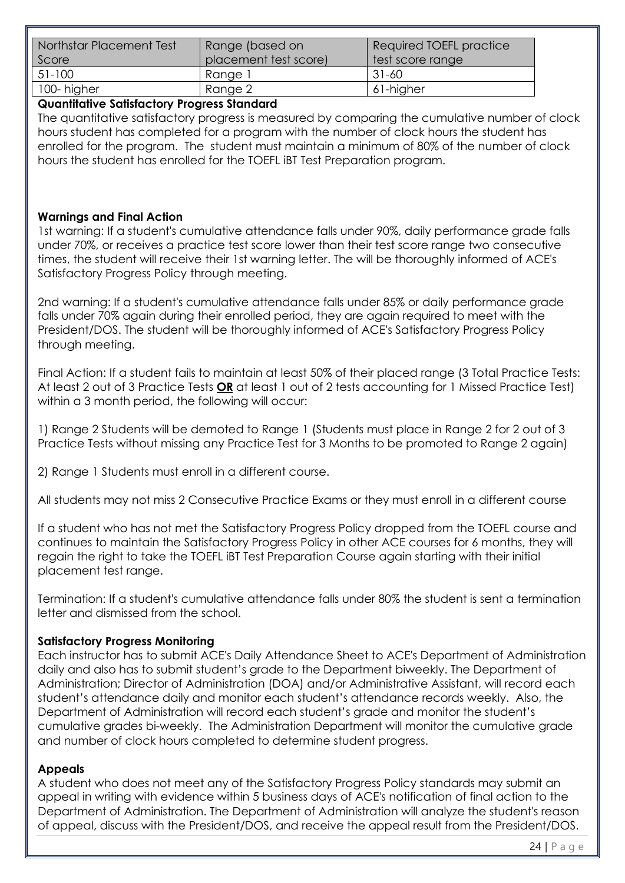| Northstar Placement Test | Range (based on       | Required TOEFL practice |
|--------------------------|-----------------------|-------------------------|
| Score                    | placement test score) | test score range        |
| 51-100                   | Range 1               | 31-60                   |
| 100-higher               | Range 2               | 61-higher               |

#### **Quantitative Satisfactory Progress Standard**

The quantitative satisfactory progress is measured by comparing the cumulative number of clock hours student has completed for a program with the number of clock hours the student has enrolled for the program. The student must maintain a minimum of 80% of the number of clock hours the student has enrolled for the TOEFL iBT Test Preparation program.

#### **Warnings and Final Action**

1st warning: If a student's cumulative attendance falls under 90%, daily performance grade falls under 70%, or receives a practice test score lower than their test score range two consecutive times, the student will receive their 1st warning letter. The will be thoroughly informed of ACE's Satisfactory Progress Policy through meeting.

2nd warning: If a student's cumulative attendance falls under 85% or daily performance grade falls under 70% again during their enrolled period, they are again required to meet with the President/DOS. The student will be thoroughly informed of ACE's Satisfactory Progress Policy through meeting.

Final Action: If a student fails to maintain at least 50% of their placed range (3 Total Practice Tests: At least 2 out of 3 Practice Tests **OR** at least 1 out of 2 tests accounting for 1 Missed Practice Test) within a 3 month period, the following will occur:

1) Range 2 Students will be demoted to Range 1 (Students must place in Range 2 for 2 out of 3 Practice Tests without missing any Practice Test for 3 Months to be promoted to Range 2 again)

2) Range 1 Students must enroll in a different course.

All students may not miss 2 Consecutive Practice Exams or they must enroll in a different course

If a student who has not met the Satisfactory Progress Policy dropped from the TOEFL course and continues to maintain the Satisfactory Progress Policy in other ACE courses for 6 months, they will regain the right to take the TOEFL iBT Test Preparation Course again starting with their initial placement test range.

Termination: If a student's cumulative attendance falls under 80% the student is sent a termination letter and dismissed from the school.

#### **Satisfactory Progress Monitoring**

Each instructor has to submit ACE's Daily Attendance Sheet to ACE's Department of Administration daily and also has to submit student's grade to the Department biweekly. The Department of Administration; Director of Administration (DOA) and/or Administrative Assistant, will record each student's attendance daily and monitor each student's attendance records weekly. Also, the Department of Administration will record each student's grade and monitor the student's cumulative grades bi-weekly. The Administration Department will monitor the cumulative grade and number of clock hours completed to determine student progress.

#### **Appeals**

A student who does not meet any of the Satisfactory Progress Policy standards may submit an appeal in writing with evidence within 5 business days of ACE's notification of final action to the Department of Administration. The Department of Administration will analyze the student's reason of appeal, discuss with the President/DOS, and receive the appeal result from the President/DOS.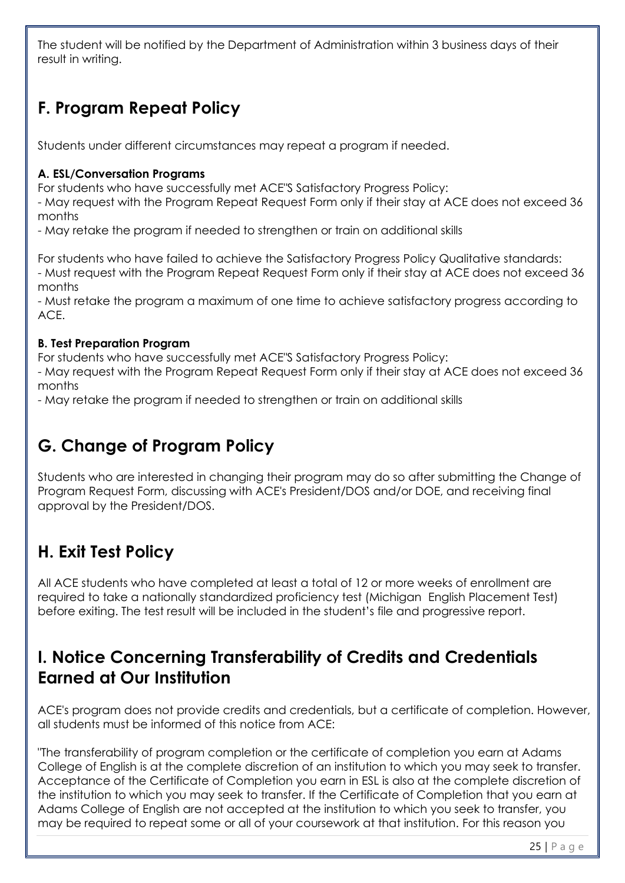The student will be notified by the Department of Administration within 3 business days of their result in writing.

# **F. Program Repeat Policy**

Students under different circumstances may repeat a program if needed.

#### **A. ESL/Conversation Programs**

For students who have successfully met ACE"S Satisfactory Progress Policy:

- May request with the Program Repeat Request Form only if their stay at ACE does not exceed 36 months

- May retake the program if needed to strengthen or train on additional skills

For students who have failed to achieve the Satisfactory Progress Policy Qualitative standards: - Must request with the Program Repeat Request Form only if their stay at ACE does not exceed 36 months

- Must retake the program a maximum of one time to achieve satisfactory progress according to ACE.

#### **B. Test Preparation Program**

For students who have successfully met ACE"S Satisfactory Progress Policy:

- May request with the Program Repeat Request Form only if their stay at ACE does not exceed 36 months

- May retake the program if needed to strengthen or train on additional skills

# **G. Change of Program Policy**

Students who are interested in changing their program may do so after submitting the Change of Program Request Form, discussing with ACE's President/DOS and/or DOE, and receiving final approval by the President/DOS.

# **H. Exit Test Policy**

All ACE students who have completed at least a total of 12 or more weeks of enrollment are required to take a nationally standardized proficiency test (Michigan English Placement Test) before exiting. The test result will be included in the student's file and progressive report.

### **I. Notice Concerning Transferability of Credits and Credentials Earned at Our Institution**

ACE's program does not provide credits and credentials, but a certificate of completion. However, all students must be informed of this notice from ACE:

"The transferability of program completion or the certificate of completion you earn at Adams College of English is at the complete discretion of an institution to which you may seek to transfer. Acceptance of the Certificate of Completion you earn in ESL is also at the complete discretion of the institution to which you may seek to transfer. If the Certificate of Completion that you earn at Adams College of English are not accepted at the institution to which you seek to transfer, you may be required to repeat some or all of your coursework at that institution. For this reason you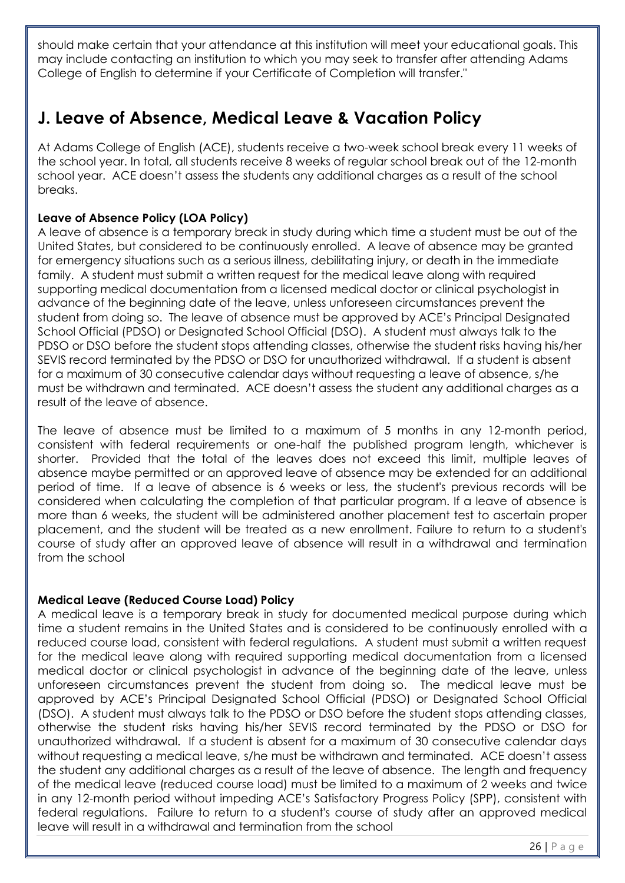should make certain that your attendance at this institution will meet your educational goals. This may include contacting an institution to which you may seek to transfer after attending Adams College of English to determine if your Certificate of Completion will transfer."

### **J. Leave of Absence, Medical Leave & Vacation Policy**

At Adams College of English (ACE), students receive a two-week school break every 11 weeks of the school year. In total, all students receive 8 weeks of regular school break out of the 12-month school year. ACE doesn't assess the students any additional charges as a result of the school breaks.

#### **Leave of Absence Policy (LOA Policy)**

A leave of absence is a temporary break in study during which time a student must be out of the United States, but considered to be continuously enrolled. A leave of absence may be granted for emergency situations such as a serious illness, debilitating injury, or death in the immediate family. A student must submit a written request for the medical leave along with required supporting medical documentation from a licensed medical doctor or clinical psychologist in advance of the beginning date of the leave, unless unforeseen circumstances prevent the student from doing so. The leave of absence must be approved by ACE's Principal Designated School Official (PDSO) or Designated School Official (DSO). A student must always talk to the PDSO or DSO before the student stops attending classes, otherwise the student risks having his/her SEVIS record terminated by the PDSO or DSO for unauthorized withdrawal. If a student is absent for a maximum of 30 consecutive calendar days without requesting a leave of absence, s/he must be withdrawn and terminated. ACE doesn't assess the student any additional charges as a result of the leave of absence.

The leave of absence must be limited to a maximum of 5 months in any 12-month period, consistent with federal requirements or one-half the published program length, whichever is shorter. Provided that the total of the leaves does not exceed this limit, multiple leaves of absence maybe permitted or an approved leave of absence may be extended for an additional period of time. If a leave of absence is 6 weeks or less, the student's previous records will be considered when calculating the completion of that particular program. If a leave of absence is more than 6 weeks, the student will be administered another placement test to ascertain proper placement, and the student will be treated as a new enrollment. Failure to return to a student's course of study after an approved leave of absence will result in a withdrawal and termination from the school

#### **Medical Leave (Reduced Course Load) Policy**

A medical leave is a temporary break in study for documented medical purpose during which time a student remains in the United States and is considered to be continuously enrolled with a reduced course load, consistent with federal regulations. A student must submit a written request for the medical leave along with required supporting medical documentation from a licensed medical doctor or clinical psychologist in advance of the beginning date of the leave, unless unforeseen circumstances prevent the student from doing so. The medical leave must be approved by ACE's Principal Designated School Official (PDSO) or Designated School Official (DSO). A student must always talk to the PDSO or DSO before the student stops attending classes, otherwise the student risks having his/her SEVIS record terminated by the PDSO or DSO for unauthorized withdrawal. If a student is absent for a maximum of 30 consecutive calendar days without requesting a medical leave, s/he must be withdrawn and terminated. ACE doesn't assess the student any additional charges as a result of the leave of absence. The length and frequency of the medical leave (reduced course load) must be limited to a maximum of 2 weeks and twice in any 12-month period without impeding ACE's Satisfactory Progress Policy (SPP), consistent with federal regulations. Failure to return to a student's course of study after an approved medical leave will result in a withdrawal and termination from the school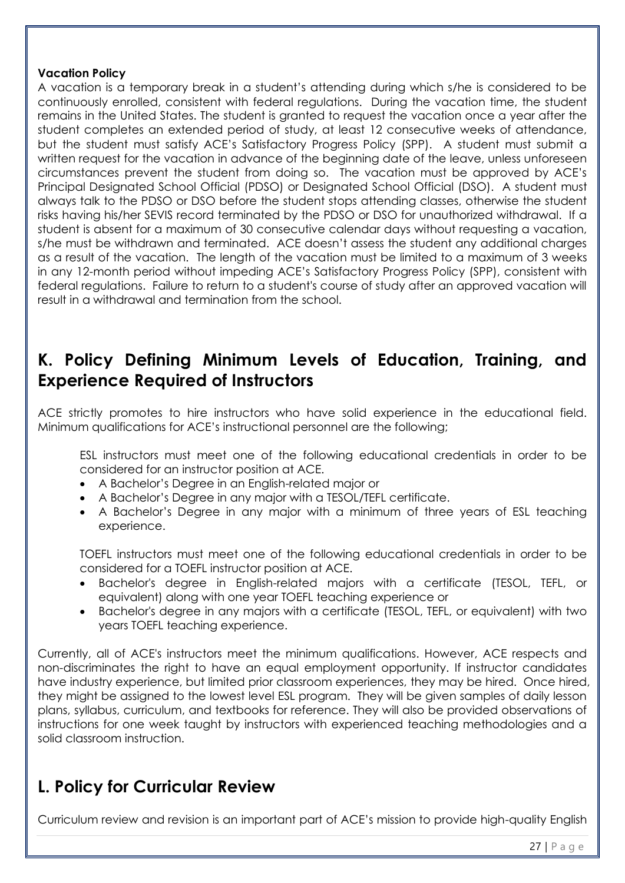#### **Vacation Policy**

A vacation is a temporary break in a student's attending during which s/he is considered to be continuously enrolled, consistent with federal regulations. During the vacation time, the student remains in the United States. The student is granted to request the vacation once a year after the student completes an extended period of study, at least 12 consecutive weeks of attendance, but the student must satisfy ACE's Satisfactory Progress Policy (SPP). A student must submit a written request for the vacation in advance of the beginning date of the leave, unless unforeseen circumstances prevent the student from doing so. The vacation must be approved by ACE's Principal Designated School Official (PDSO) or Designated School Official (DSO). A student must always talk to the PDSO or DSO before the student stops attending classes, otherwise the student risks having his/her SEVIS record terminated by the PDSO or DSO for unauthorized withdrawal. If a student is absent for a maximum of 30 consecutive calendar days without requesting a vacation, s/he must be withdrawn and terminated. ACE doesn't assess the student any additional charges as a result of the vacation. The length of the vacation must be limited to a maximum of 3 weeks in any 12-month period without impeding ACE's Satisfactory Progress Policy (SPP), consistent with federal regulations. Failure to return to a student's course of study after an approved vacation will result in a withdrawal and termination from the school.

### **K. Policy Defining Minimum Levels of Education, Training, and Experience Required of Instructors**

ACE strictly promotes to hire instructors who have solid experience in the educational field. Minimum qualifications for ACE's instructional personnel are the following;

ESL instructors must meet one of the following educational credentials in order to be considered for an instructor position at ACE.

- A Bachelor's Degree in an English-related major or
- A Bachelor's Degree in any major with a TESOL/TEFL certificate.
- A Bachelor's Degree in any major with a minimum of three years of ESL teaching experience.

TOEFL instructors must meet one of the following educational credentials in order to be considered for a TOEFL instructor position at ACE.

- Bachelor's degree in English-related majors with a certificate (TESOL, TEFL, or equivalent) along with one year TOEFL teaching experience or
- Bachelor's degree in any majors with a certificate (TESOL, TEFL, or equivalent) with two years TOEFL teaching experience.

Currently, all of ACE's instructors meet the minimum qualifications. However, ACE respects and non-discriminates the right to have an equal employment opportunity. If instructor candidates have industry experience, but limited prior classroom experiences, they may be hired. Once hired, they might be assigned to the lowest level ESL program. They will be given samples of daily lesson plans, syllabus, curriculum, and textbooks for reference. They will also be provided observations of instructions for one week taught by instructors with experienced teaching methodologies and a solid classroom instruction.

### **L. Policy for Curricular Review**

Curriculum review and revision is an important part of ACE's mission to provide high-quality English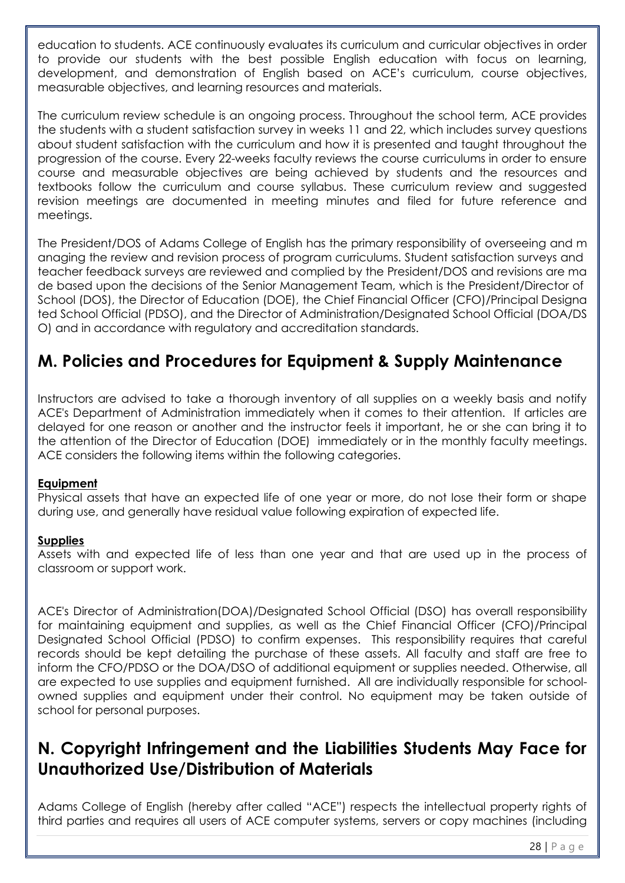education to students. ACE continuously evaluates its curriculum and curricular objectives in order to provide our students with the best possible English education with focus on learning, development, and demonstration of English based on ACE's curriculum, course objectives, measurable objectives, and learning resources and materials.

The curriculum review schedule is an ongoing process. Throughout the school term, ACE provides the students with a student satisfaction survey in weeks 11 and 22, which includes survey questions about student satisfaction with the curriculum and how it is presented and taught throughout the progression of the course. Every 22-weeks faculty reviews the course curriculums in order to ensure course and measurable objectives are being achieved by students and the resources and textbooks follow the curriculum and course syllabus. These curriculum review and suggested revision meetings are documented in meeting minutes and filed for future reference and meetings.

The President/DOS of Adams College of English has the primary responsibility of overseeing and m anaging the review and revision process of program curriculums. Student satisfaction surveys and teacher feedback surveys are reviewed and complied by the President/DOS and revisions are ma de based upon the decisions of the Senior Management Team, which is the President/Director of School (DOS), the Director of Education (DOE), the Chief Financial Officer (CFO)/Principal Designa ted School Official (PDSO), and the Director of Administration/Designated School Official (DOA/DS O) and in accordance with regulatory and accreditation standards.

### **M. Policies and Procedures for Equipment & Supply Maintenance**

Instructors are advised to take a thorough inventory of all supplies on a weekly basis and notify ACE's Department of Administration immediately when it comes to their attention. If articles are delayed for one reason or another and the instructor feels it important, he or she can bring it to the attention of the Director of Education (DOE) immediately or in the monthly faculty meetings. ACE considers the following items within the following categories.

#### **Equipment**

Physical assets that have an expected life of one year or more, do not lose their form or shape during use, and generally have residual value following expiration of expected life.

#### **Supplies**

Assets with and expected life of less than one year and that are used up in the process of classroom or support work.

ACE's Director of Administration(DOA)/Designated School Official (DSO) has overall responsibility for maintaining equipment and supplies, as well as the Chief Financial Officer (CFO)/Principal Designated School Official (PDSO) to confirm expenses. This responsibility requires that careful records should be kept detailing the purchase of these assets. All faculty and staff are free to inform the CFO/PDSO or the DOA/DSO of additional equipment or supplies needed. Otherwise, all are expected to use supplies and equipment furnished. All are individually responsible for schoolowned supplies and equipment under their control. No equipment may be taken outside of school for personal purposes.

### **N. Copyright Infringement and the Liabilities Students May Face for Unauthorized Use/Distribution of Materials**

Adams College of English (hereby after called "ACE") respects the intellectual property rights of third parties and requires all users of ACE computer systems, servers or copy machines (including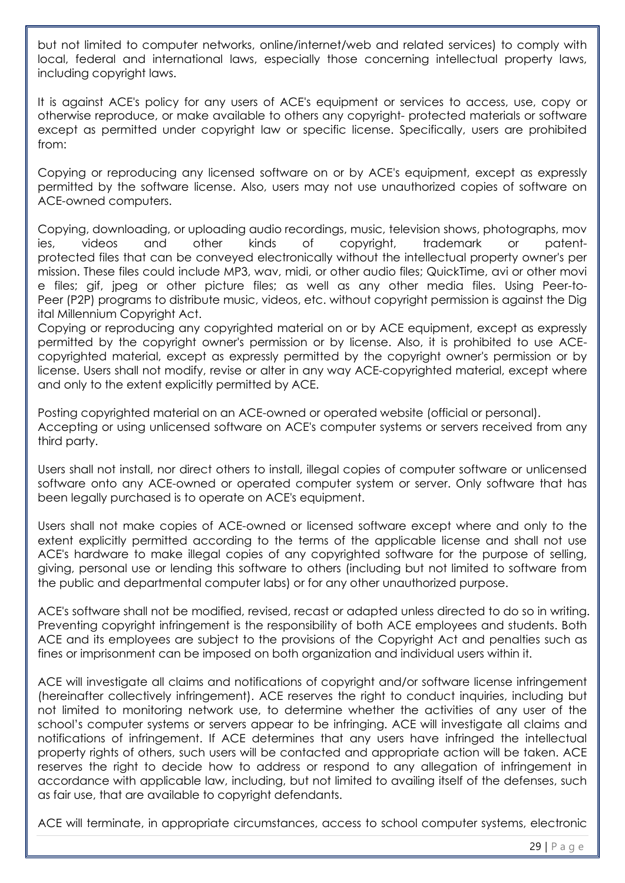but not limited to computer networks, online/internet/web and related services) to comply with local, federal and international laws, especially those concerning intellectual property laws, including copyright laws.

It is against ACE's policy for any users of ACE's equipment or services to access, use, copy or otherwise reproduce, or make available to others any copyright- protected materials or software except as permitted under copyright law or specific license. Specifically, users are prohibited from:

Copying or reproducing any licensed software on or by ACE's equipment, except as expressly permitted by the software license. Also, users may not use unauthorized copies of software on ACE-owned computers.

Copying, downloading, or uploading audio recordings, music, television shows, photographs, mov ies, videos and other kinds of copyright, trademark or patentprotected files that can be conveyed electronically without the intellectual property owner's per mission. These files could include MP3, wav, midi, or other audio files; QuickTime, avi or other movi e files; gif, jpeg or other picture files; as well as any other media files. Using Peer-to-Peer (P2P) programs to distribute music, videos, etc. without copyright permission is against the Dig ital Millennium Copyright Act.

Copying or reproducing any copyrighted material on or by ACE equipment, except as expressly permitted by the copyright owner's permission or by license. Also, it is prohibited to use ACEcopyrighted material, except as expressly permitted by the copyright owner's permission or by license. Users shall not modify, revise or alter in any way ACE-copyrighted material, except where and only to the extent explicitly permitted by ACE.

Posting copyrighted material on an ACE-owned or operated website (official or personal). Accepting or using unlicensed software on ACE's computer systems or servers received from any third party.

Users shall not install, nor direct others to install, illegal copies of computer software or unlicensed software onto any ACE-owned or operated computer system or server. Only software that has been legally purchased is to operate on ACE's equipment.

Users shall not make copies of ACE-owned or licensed software except where and only to the extent explicitly permitted according to the terms of the applicable license and shall not use ACE's hardware to make illegal copies of any copyrighted software for the purpose of selling, giving, personal use or lending this software to others (including but not limited to software from the public and departmental computer labs) or for any other unauthorized purpose.

ACE's software shall not be modified, revised, recast or adapted unless directed to do so in writing. Preventing copyright infringement is the responsibility of both ACE employees and students. Both ACE and its employees are subject to the provisions of the Copyright Act and penalties such as fines or imprisonment can be imposed on both organization and individual users within it.

ACE will investigate all claims and notifications of copyright and/or software license infringement (hereinafter collectively infringement). ACE reserves the right to conduct inquiries, including but not limited to monitoring network use, to determine whether the activities of any user of the school's computer systems or servers appear to be infringing. ACE will investigate all claims and notifications of infringement. If ACE determines that any users have infringed the intellectual property rights of others, such users will be contacted and appropriate action will be taken. ACE reserves the right to decide how to address or respond to any allegation of infringement in accordance with applicable law, including, but not limited to availing itself of the defenses, such as fair use, that are available to copyright defendants.

ACE will terminate, in appropriate circumstances, access to school computer systems, electronic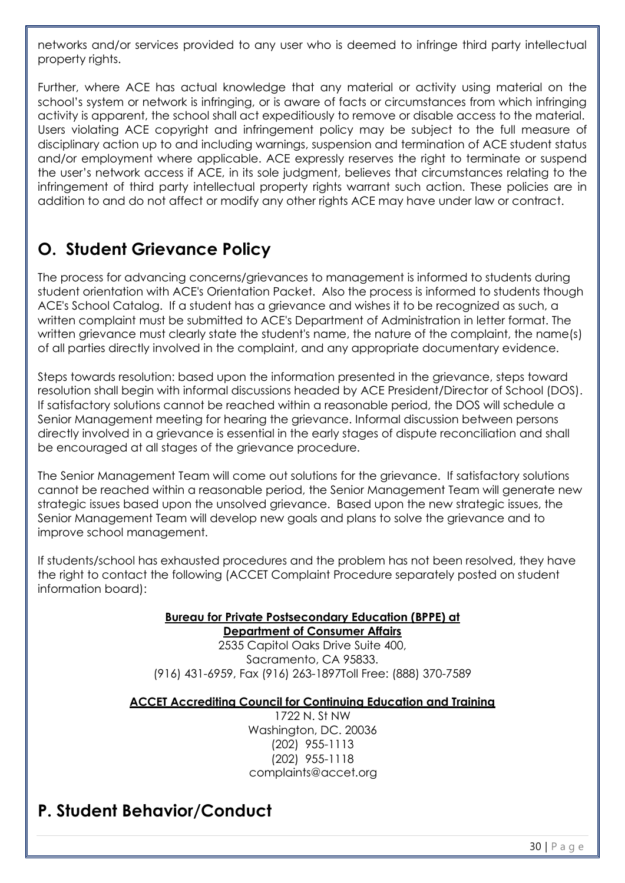networks and/or services provided to any user who is deemed to infringe third party intellectual property rights.

Further, where ACE has actual knowledge that any material or activity using material on the school's system or network is infringing, or is aware of facts or circumstances from which infringing activity is apparent, the school shall act expeditiously to remove or disable access to the material. Users violating ACE copyright and infringement policy may be subject to the full measure of disciplinary action up to and including warnings, suspension and termination of ACE student status and/or employment where applicable. ACE expressly reserves the right to terminate or suspend the user's network access if ACE, in its sole judgment, believes that circumstances relating to the infringement of third party intellectual property rights warrant such action. These policies are in addition to and do not affect or modify any other rights ACE may have under law or contract.

### **O. Student Grievance Policy**

The process for advancing concerns/grievances to management is informed to students during student orientation with ACE's Orientation Packet. Also the process is informed to students though ACE's School Catalog. If a student has a grievance and wishes it to be recognized as such, a written complaint must be submitted to ACE's Department of Administration in letter format. The written grievance must clearly state the student's name, the nature of the complaint, the name(s) of all parties directly involved in the complaint, and any appropriate documentary evidence.

Steps towards resolution: based upon the information presented in the grievance, steps toward resolution shall begin with informal discussions headed by ACE President/Director of School (DOS). If satisfactory solutions cannot be reached within a reasonable period, the DOS will schedule a Senior Management meeting for hearing the grievance. Informal discussion between persons directly involved in a grievance is essential in the early stages of dispute reconciliation and shall be encouraged at all stages of the grievance procedure.

The Senior Management Team will come out solutions for the grievance. If satisfactory solutions cannot be reached within a reasonable period, the Senior Management Team will generate new strategic issues based upon the unsolved grievance. Based upon the new strategic issues, the Senior Management Team will develop new goals and plans to solve the grievance and to improve school management.

If students/school has exhausted procedures and the problem has not been resolved, they have the right to contact the following (ACCET Complaint Procedure separately posted on student information board):

#### **Bureau for Private Postsecondary Education (BPPE) at Department of Consumer Affairs**

2535 Capitol Oaks Drive Suite 400, Sacramento, CA 95833. (916) 431-6959, Fax (916) 263-1897Toll Free: (888) 370-7589

#### **ACCET Accrediting Council for Continuing Education and Training**

1722 N. St NW Washington, DC. 20036 (202) 955-1113 (202) 955-1118 complaints@accet.org

### **P. Student Behavior/Conduct**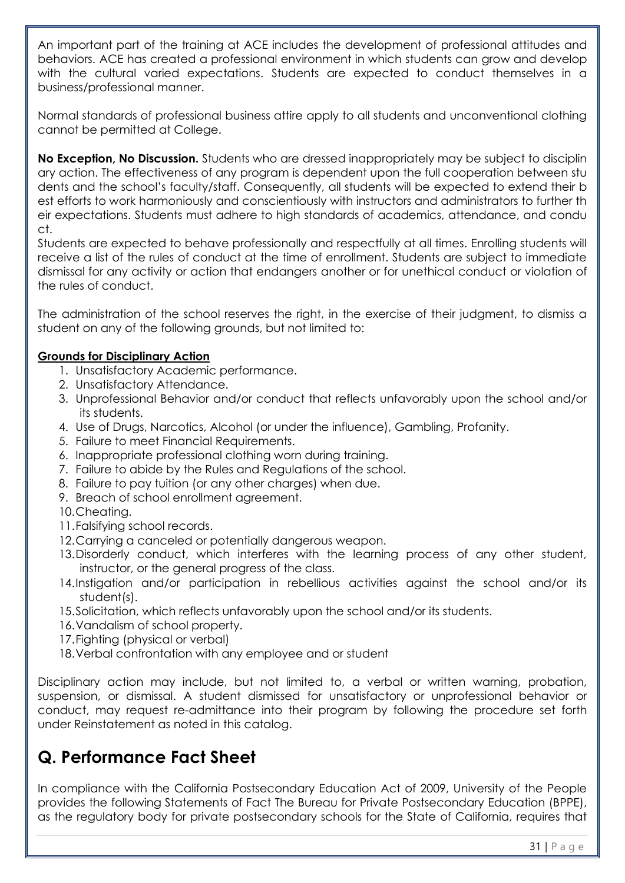An important part of the training at ACE includes the development of professional attitudes and behaviors. ACE has created a professional environment in which students can grow and develop with the cultural varied expectations. Students are expected to conduct themselves in a business/professional manner.

Normal standards of professional business attire apply to all students and unconventional clothing cannot be permitted at College.

**No Exception, No Discussion.** Students who are dressed inappropriately may be subject to disciplin ary action. The effectiveness of any program is dependent upon the full cooperation between stu dents and the school's faculty/staff. Consequently, all students will be expected to extend their b est efforts to work harmoniously and conscientiously with instructors and administrators to further th eir expectations. Students must adhere to high standards of academics, attendance, and condu ct.

Students are expected to behave professionally and respectfully at all times. Enrolling students will receive a list of the rules of conduct at the time of enrollment. Students are subject to immediate dismissal for any activity or action that endangers another or for unethical conduct or violation of the rules of conduct.

The administration of the school reserves the right, in the exercise of their judgment, to dismiss a student on any of the following grounds, but not limited to:

#### **Grounds for Disciplinary Action**

- 1. Unsatisfactory Academic performance.
- 2. Unsatisfactory Attendance.
- 3. Unprofessional Behavior and/or conduct that reflects unfavorably upon the school and/or its students.
- 4. Use of Drugs, Narcotics, Alcohol (or under the influence), Gambling, Profanity.
- 5. Failure to meet Financial Requirements.
- 6. Inappropriate professional clothing worn during training.
- 7. Failure to abide by the Rules and Regulations of the school.
- 8. Failure to pay tuition (or any other charges) when due.
- 9. Breach of school enrollment agreement.
- 10.Cheating.
- 11.Falsifying school records.
- 12.Carrying a canceled or potentially dangerous weapon.
- 13.Disorderly conduct, which interferes with the learning process of any other student, instructor, or the general progress of the class.
- 14.Instigation and/or participation in rebellious activities against the school and/or its student(s).
- 15.Solicitation, which reflects unfavorably upon the school and/or its students.
- 16.Vandalism of school property.
- 17. Fighting (physical or verbal)
- 18.Verbal confrontation with any employee and or student

Disciplinary action may include, but not limited to, a verbal or written warning, probation, suspension, or dismissal. A student dismissed for unsatisfactory or unprofessional behavior or conduct, may request re-admittance into their program by following the procedure set forth under Reinstatement as noted in this catalog.

## **Q. Performance Fact Sheet**

In compliance with the California Postsecondary Education Act of 2009, University of the People provides the following Statements of Fact The Bureau for Private Postsecondary Education (BPPE), as the regulatory body for private postsecondary schools for the State of California, requires that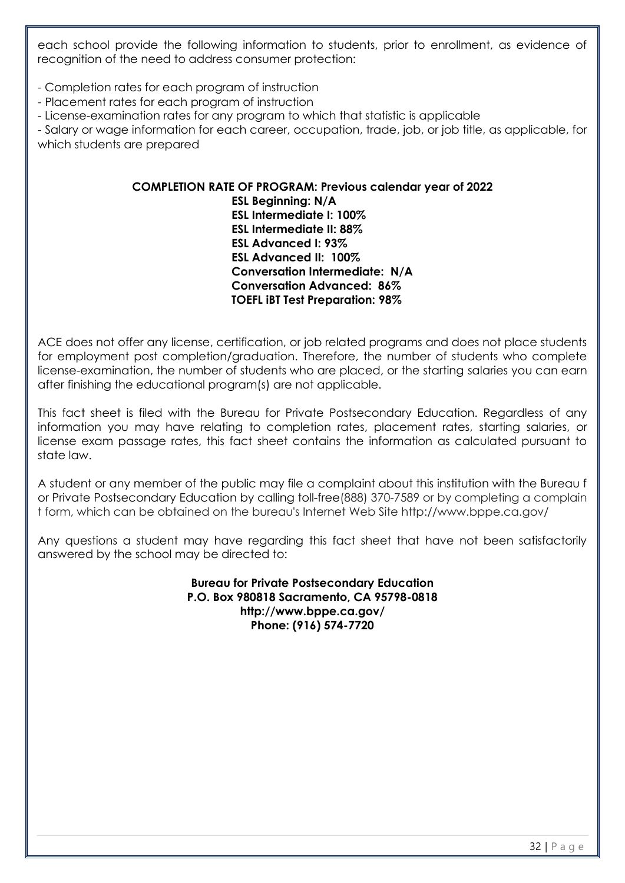each school provide the following information to students, prior to enrollment, as evidence of recognition of the need to address consumer protection:

- Completion rates for each program of instruction

- Placement rates for each program of instruction

- License-examination rates for any program to which that statistic is applicable

- Salary or wage information for each career, occupation, trade, job, or job title, as applicable, for which students are prepared

#### **COMPLETION RATE OF PROGRAM: Previous calendar year of 2022 ESL Beginning: N/A ESL Intermediate I: 100% ESL Intermediate II: 88% ESL Advanced I: 93% ESL Advanced II: 100% Conversation Intermediate: N/A Conversation Advanced: 86% TOEFL iBT Test Preparation: 98%**

ACE does not offer any license, certification, or job related programs and does not place students for employment post completion/graduation. Therefore, the number of students who complete license-examination, the number of students who are placed, or the starting salaries you can earn after finishing the educational program(s) are not applicable.

This fact sheet is filed with the Bureau for Private Postsecondary Education. Regardless of any information you may have relating to completion rates, placement rates, starting salaries, or license exam passage rates, this fact sheet contains the information as calculated pursuant to state law.

A student or any member of the public may file a complaint about this institution with the Bureau f or Private Postsecondary Education by calling toll-free(888) 370-7589 or by completing a complain t form, which can be obtained on the bureau's Internet Web Site http://www.bppe.ca.gov/

Any questions a student may have regarding this fact sheet that have not been satisfactorily answered by the school may be directed to:

> **Bureau for Private Postsecondary Education P.O. Box 980818 Sacramento, CA 95798-0818 http://www.bppe.ca.gov/ Phone: (916) 574-7720**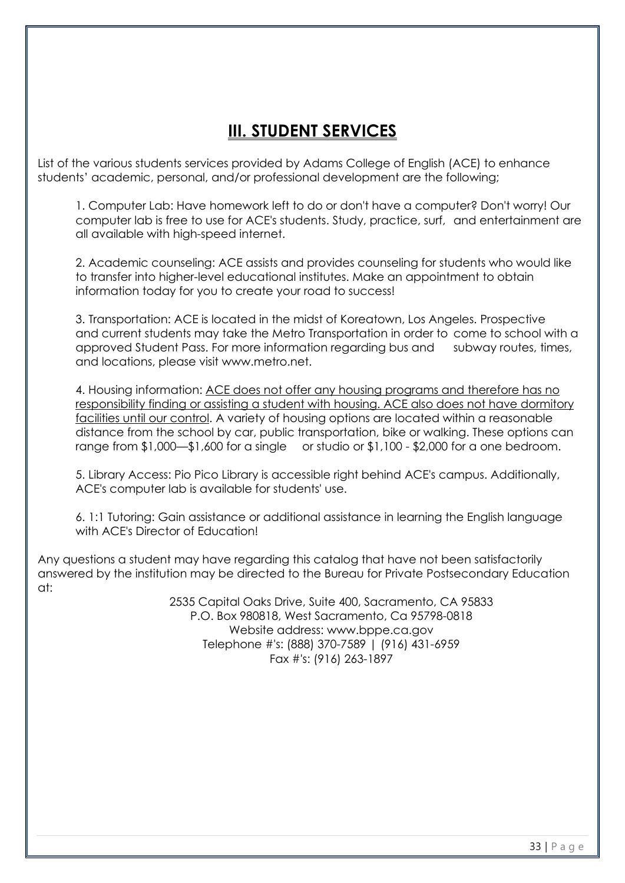## **III. STUDENT SERVICES**

List of the various students services provided by Adams College of English (ACE) to enhance students' academic, personal, and/or professional development are the following;

1. Computer Lab: Have homework left to do or don't have a computer? Don't worry! Our computer lab is free to use for ACE's students. Study, practice, surf, and entertainment are all available with high-speed internet.

2. Academic counseling: ACE assists and provides counseling for students who would like to transfer into higher-level educational institutes. Make an appointment to obtain information today for you to create your road to success!

3. Transportation: ACE is located in the midst of Koreatown, Los Angeles. Prospective and current students may take the Metro Transportation in order to come to school with a approved Student Pass. For more information regarding bus and subway routes, times, and locations, please visit www.metro.net.

4. Housing information: ACE does not offer any housing programs and therefore has no responsibility finding or assisting a student with housing. ACE also does not have dormitory facilities until our control. A variety of housing options are located within a reasonable distance from the school by car, public transportation, bike or walking. These options can range from \$1,000—\$1,600 for a single or studio or \$1,100 - \$2,000 for a one bedroom.

5. Library Access: Pio Pico Library is accessible right behind ACE's campus. Additionally, ACE's computer lab is available for students' use.

6. 1:1 Tutoring: Gain assistance or additional assistance in learning the English language with ACE's Director of Education!

Any questions a student may have regarding this catalog that have not been satisfactorily answered by the institution may be directed to the Bureau for Private Postsecondary Education at:

> 2535 Capital Oaks Drive, Suite 400, Sacramento, CA 95833 P.O. Box 980818, West Sacramento, Ca 95798-0818 Website address: www.bppe.ca.gov Telephone #'s: (888) 370-7589 | (916) 431-6959 Fax #'s: (916) 263-1897